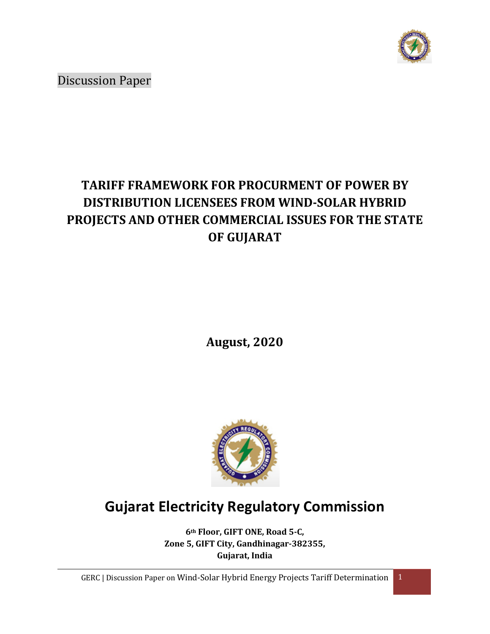

Discussion Paper

# **TARIFF FRAMEWORK FOR PROCURMENT OF POWER BY DISTRIBUTION LICENSEES FROM WIND-SOLAR HYBRID** PROJECTS AND OTHER COMMERCIAL ISSUES FOR THE STATE **OF GUJARAT**

**August, 2020**



# **Gujarat Electricity Regulatory Commission**

**6th Floor, GIFT ONE, Road 5-C, Zone 5, GIFT City, Gandhinagar-382355, Gujarat, India**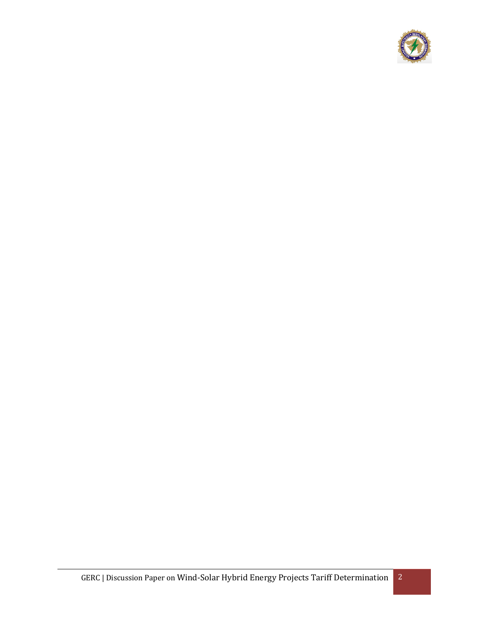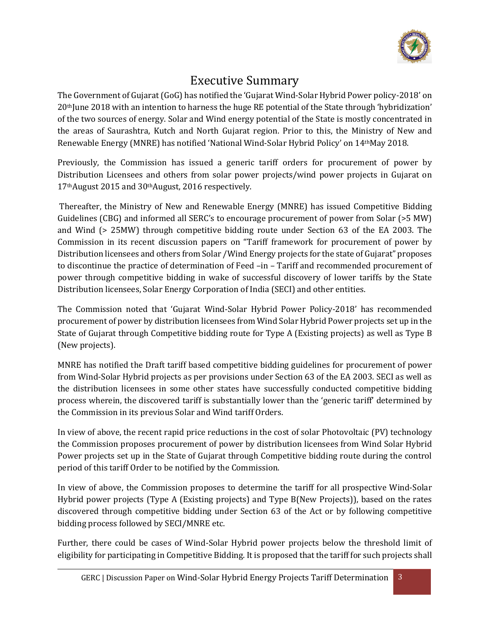

# **Executive Summary**

The Government of Gujarat (GoG) has notified the 'Gujarat Wind-Solar Hybrid Power policy-2018' on  $20<sup>th</sup>$  June 2018 with an intention to harness the huge RE potential of the State through 'hybridization' of the two sources of energy. Solar and Wind energy potential of the State is mostly concentrated in the areas of Saurashtra, Kutch and North Gujarat region. Prior to this, the Ministry of New and Renewable Energy (MNRE) has notified 'National Wind-Solar Hybrid Policy' on 14<sup>th</sup>May 2018.

Previously, the Commission has issued a generic tariff orders for procurement of power by Distribution Licensees and others from solar power projects/wind power projects in Gujarat on 17th August 2015 and 30th August, 2016 respectively.

Thereafter, the Ministry of New and Renewable Energy (MNRE) has issued Competitive Bidding Guidelines  $(CBG)$  and informed all SERC's to encourage procurement of power from Solar (>5 MW) and Wind  $(> 25MW)$  through competitive bidding route under Section 63 of the EA 2003. The Commission in its recent discussion papers on "Tariff framework for procurement of power by Distribution licensees and others from Solar /Wind Energy projects for the state of Gujarat" proposes to discontinue the practice of determination of Feed -in - Tariff and recommended procurement of power through competitive bidding in wake of successful discovery of lower tariffs by the State Distribution licensees, Solar Energy Corporation of India (SECI) and other entities.

The Commission noted that 'Gujarat Wind-Solar Hybrid Power Policy-2018' has recommended procurement of power by distribution licensees from Wind Solar Hybrid Power projects set up in the State of Gujarat through Competitive bidding route for Type A (Existing projects) as well as Type B (New projects).

MNRE has notified the Draft tariff based competitive bidding guidelines for procurement of power from Wind-Solar Hybrid projects as per provisions under Section 63 of the EA 2003. SECI as well as the distribution licensees in some other states have successfully conducted competitive bidding process wherein, the discovered tariff is substantially lower than the 'generic tariff' determined by the Commission in its previous Solar and Wind tariff Orders.

In view of above, the recent rapid price reductions in the cost of solar Photovoltaic (PV) technology the Commission proposes procurement of power by distribution licensees from Wind Solar Hybrid Power projects set up in the State of Gujarat through Competitive bidding route during the control period of this tariff Order to be notified by the Commission.

In view of above, the Commission proposes to determine the tariff for all prospective Wind-Solar Hybrid power projects (Type A (Existing projects) and Type  $B(New$  Projects)), based on the rates discovered through competitive bidding under Section 63 of the Act or by following competitive bidding process followed by SECI/MNRE etc.

Further, there could be cases of Wind-Solar Hybrid power projects below the threshold limit of eligibility for participating in Competitive Bidding. It is proposed that the tariff for such projects shall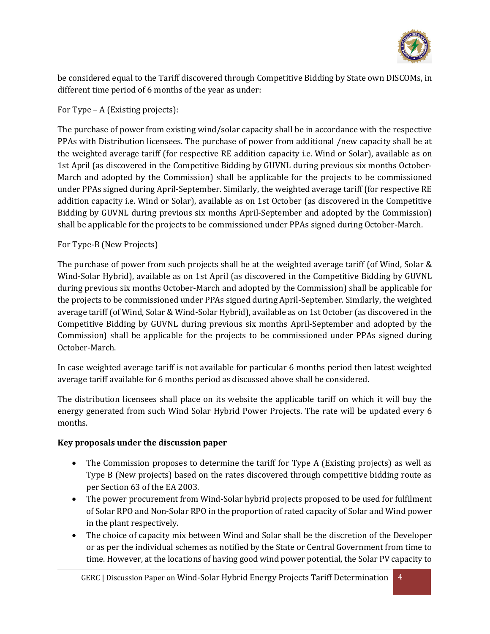

be considered equal to the Tariff discovered through Competitive Bidding by State own DISCOMs, in different time period of 6 months of the year as under:

For Type  $-$  A (Existing projects):

The purchase of power from existing wind/solar capacity shall be in accordance with the respective PPAs with Distribution licensees. The purchase of power from additional /new capacity shall be at the weighted average tariff (for respective RE addition capacity i.e. Wind or Solar), available as on 1st April (as discovered in the Competitive Bidding by GUVNL during previous six months October-March and adopted by the Commission) shall be applicable for the projects to be commissioned under PPAs signed during April-September. Similarly, the weighted average tariff (for respective RE addition capacity i.e. Wind or Solar), available as on 1st October (as discovered in the Competitive Bidding by GUVNL during previous six months April-September and adopted by the Commission) shall be applicable for the projects to be commissioned under PPAs signed during October-March.

# For Type-B (New Projects)

The purchase of power from such projects shall be at the weighted average tariff (of Wind, Solar  $&$ Wind-Solar Hybrid), available as on 1st April (as discovered in the Competitive Bidding by GUVNL during previous six months October-March and adopted by the Commission) shall be applicable for the projects to be commissioned under PPAs signed during April-September. Similarly, the weighted average tariff (of Wind, Solar & Wind-Solar Hybrid), available as on 1st October (as discovered in the Competitive Bidding by GUVNL during previous six months April-September and adopted by the Commission) shall be applicable for the projects to be commissioned under PPAs signed during October-March.

In case weighted average tariff is not available for particular 6 months period then latest weighted average tariff available for 6 months period as discussed above shall be considered.

The distribution licensees shall place on its website the applicable tariff on which it will buy the energy generated from such Wind Solar Hybrid Power Projects. The rate will be updated every 6 months.

## **Key proposals under the discussion paper**

- The Commission proposes to determine the tariff for Type A (Existing projects) as well as Type B (New projects) based on the rates discovered through competitive bidding route as per Section 63 of the EA 2003.
- The power procurement from Wind-Solar hybrid projects proposed to be used for fulfilment of Solar RPO and Non-Solar RPO in the proportion of rated capacity of Solar and Wind power in the plant respectively.
- The choice of capacity mix between Wind and Solar shall be the discretion of the Developer or as per the individual schemes as notified by the State or Central Government from time to time. However, at the locations of having good wind power potential, the Solar PV capacity to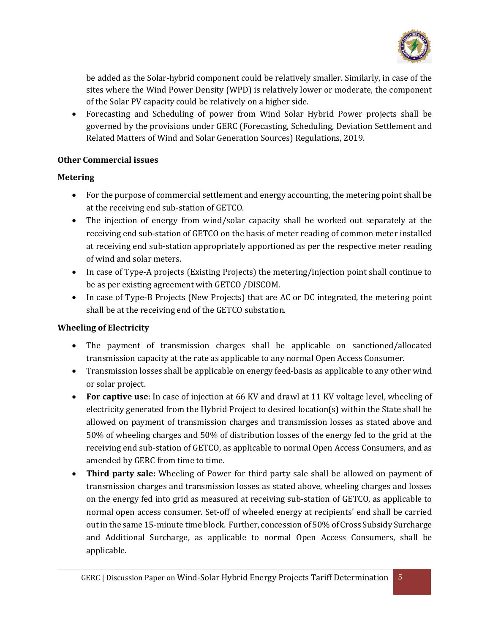

be added as the Solar-hybrid component could be relatively smaller. Similarly, in case of the sites where the Wind Power Density (WPD) is relatively lower or moderate, the component of the Solar PV capacity could be relatively on a higher side.

• Forecasting and Scheduling of power from Wind Solar Hybrid Power projects shall be governed by the provisions under GERC (Forecasting, Scheduling, Deviation Settlement and Related Matters of Wind and Solar Generation Sources) Regulations, 2019.

#### **Other Commercial issues**

## **Metering**

- For the purpose of commercial settlement and energy accounting, the metering point shall be at the receiving end sub-station of GETCO.
- The injection of energy from wind/solar capacity shall be worked out separately at the receiving end sub-station of GETCO on the basis of meter reading of common meter installed at receiving end sub-station appropriately apportioned as per the respective meter reading of wind and solar meters.
- In case of Type-A projects (Existing Projects) the metering/injection point shall continue to be as per existing agreement with GETCO /DISCOM.
- In case of Type-B Projects (New Projects) that are AC or DC integrated, the metering point shall be at the receiving end of the GETCO substation.

## **Wheeling of Electricity**

- The payment of transmission charges shall be applicable on sanctioned/allocated transmission capacity at the rate as applicable to any normal Open Access Consumer.
- Transmission losses shall be applicable on energy feed-basis as applicable to any other wind or solar project.
- **For captive use**: In case of injection at 66 KV and drawl at 11 KV voltage level, wheeling of electricity generated from the Hybrid Project to desired location(s) within the State shall be allowed on payment of transmission charges and transmission losses as stated above and 50% of wheeling charges and 50% of distribution losses of the energy fed to the grid at the receiving end sub-station of GETCO, as applicable to normal Open Access Consumers, and as amended by GERC from time to time.
- **Third party sale:** Wheeling of Power for third party sale shall be allowed on payment of transmission charges and transmission losses as stated above, wheeling charges and losses on the energy fed into grid as measured at receiving sub-station of GETCO, as applicable to normal open access consumer. Set-off of wheeled energy at recipients' end shall be carried out in the same 15-minute time block. Further, concession of 50% of Cross Subsidy Surcharge and Additional Surcharge, as applicable to normal Open Access Consumers, shall be applicable.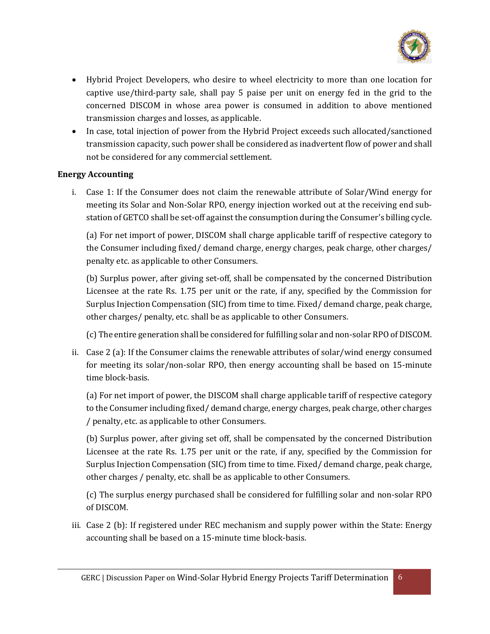

- Hybrid Project Developers, who desire to wheel electricity to more than one location for captive use/third-party sale, shall pay 5 paise per unit on energy fed in the grid to the concerned DISCOM in whose area power is consumed in addition to above mentioned transmission charges and losses, as applicable.
- In case, total injection of power from the Hybrid Project exceeds such allocated/sanctioned transmission capacity, such power shall be considered as inadvertent flow of power and shall not be considered for any commercial settlement.

#### **Energy Accounting**

i. Case 1: If the Consumer does not claim the renewable attribute of Solar/Wind energy for meeting its Solar and Non-Solar RPO, energy injection worked out at the receiving end substation of GETCO shall be set-off against the consumption during the Consumer's billing cycle.

(a) For net import of power, DISCOM shall charge applicable tariff of respective category to the Consumer including fixed/ demand charge, energy charges, peak charge, other charges/ penalty etc. as applicable to other Consumers.

(b) Surplus power, after giving set-off, shall be compensated by the concerned Distribution Licensee at the rate Rs. 1.75 per unit or the rate, if any, specified by the Commission for Surplus Injection Compensation (SIC) from time to time. Fixed/ demand charge, peak charge, other charges/ penalty, etc. shall be as applicable to other Consumers.

(c) The entire generation shall be considered for fulfilling solar and non-solar RPO of DISCOM.

ii. Case 2 (a): If the Consumer claims the renewable attributes of solar/wind energy consumed for meeting its solar/non-solar RPO, then energy accounting shall be based on 15-minute time block-basis.

(a) For net import of power, the DISCOM shall charge applicable tariff of respective category to the Consumer including fixed/ demand charge, energy charges, peak charge, other charges / penalty, etc. as applicable to other Consumers.

(b) Surplus power, after giving set off, shall be compensated by the concerned Distribution Licensee at the rate Rs. 1.75 per unit or the rate, if any, specified by the Commission for Surplus Injection Compensation (SIC) from time to time. Fixed/ demand charge, peak charge, other charges / penalty, etc. shall be as applicable to other Consumers.

(c) The surplus energy purchased shall be considered for fulfilling solar and non-solar RPO of DISCOM.

iii. Case 2 (b): If registered under REC mechanism and supply power within the State: Energy accounting shall be based on a 15-minute time block-basis.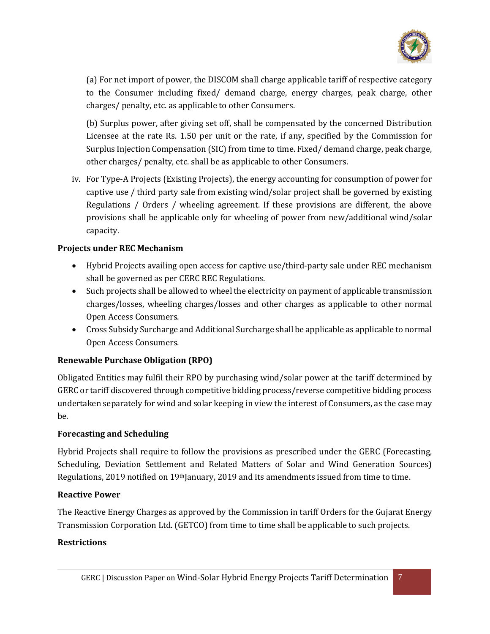

(a) For net import of power, the DISCOM shall charge applicable tariff of respective category to the Consumer including fixed/ demand charge, energy charges, peak charge, other charges/ penalty, etc. as applicable to other Consumers.

(b) Surplus power, after giving set off, shall be compensated by the concerned Distribution Licensee at the rate Rs. 1.50 per unit or the rate, if any, specified by the Commission for Surplus Injection Compensation (SIC) from time to time. Fixed/ demand charge, peak charge, other charges/ penalty, etc. shall be as applicable to other Consumers.

iv. For Type-A Projects (Existing Projects), the energy accounting for consumption of power for captive use / third party sale from existing wind/solar project shall be governed by existing Regulations / Orders / wheeling agreement. If these provisions are different, the above provisions shall be applicable only for wheeling of power from new/additional wind/solar capacity.

#### **Projects under REC Mechanism**

- Hybrid Projects availing open access for captive use/third-party sale under REC mechanism shall be governed as per CERC REC Regulations.
- Such projects shall be allowed to wheel the electricity on payment of applicable transmission charges/losses, wheeling charges/losses and other charges as applicable to other normal Open Access Consumers.
- Cross Subsidy Surcharge and Additional Surcharge shall be applicable as applicable to normal Open Access Consumers.

#### **Renewable Purchase Obligation (RPO)**

Obligated Entities may fulfil their RPO by purchasing wind/solar power at the tariff determined by GERC or tariff discovered through competitive bidding process/reverse competitive bidding process undertaken separately for wind and solar keeping in view the interest of Consumers, as the case may be.

#### **Forecasting and Scheduling**

Hybrid Projects shall require to follow the provisions as prescribed under the GERC (Forecasting, Scheduling, Deviation Settlement and Related Matters of Solar and Wind Generation Sources) Regulations, 2019 notified on 19<sup>th</sup>January, 2019 and its amendments issued from time to time.

#### **Reactive Power**

The Reactive Energy Charges as approved by the Commission in tariff Orders for the Gujarat Energy Transmission Corporation Ltd. (GETCO) from time to time shall be applicable to such projects.

#### **Restrictions**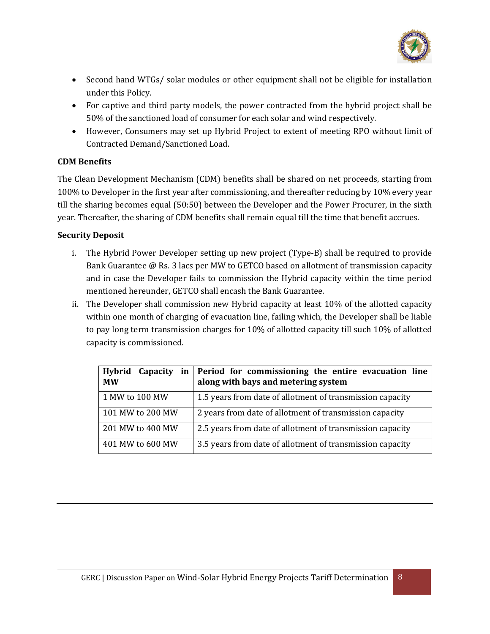

- Second hand WTGs/ solar modules or other equipment shall not be eligible for installation under this Policy.
- For captive and third party models, the power contracted from the hybrid project shall be 50% of the sanctioned load of consumer for each solar and wind respectively.
- However, Consumers may set up Hybrid Project to extent of meeting RPO without limit of Contracted Demand/Sanctioned Load.

#### **CDM Benefits**

The Clean Development Mechanism (CDM) benefits shall be shared on net proceeds, starting from 100% to Developer in the first year after commissioning, and thereafter reducing by 10% every year till the sharing becomes equal  $(50:50)$  between the Developer and the Power Procurer, in the sixth year. Thereafter, the sharing of CDM benefits shall remain equal till the time that benefit accrues.

#### **Security Deposit**

- i. The Hybrid Power Developer setting up new project (Type-B) shall be required to provide Bank Guarantee  $\omega$  Rs. 3 lacs per MW to GETCO based on allotment of transmission capacity and in case the Developer fails to commission the Hybrid capacity within the time period mentioned hereunder, GETCO shall encash the Bank Guarantee.
- ii. The Developer shall commission new Hybrid capacity at least 10% of the allotted capacity within one month of charging of evacuation line, failing which, the Developer shall be liable to pay long term transmission charges for 10% of allotted capacity till such 10% of allotted capacity is commissioned.

| <b>Hybrid Capacity</b><br><b>MW</b> | in   Period for commissioning the entire evacuation line<br>along with bays and metering system |
|-------------------------------------|-------------------------------------------------------------------------------------------------|
| 1 MW to 100 MW                      | 1.5 years from date of allotment of transmission capacity                                       |
| 101 MW to 200 MW                    | 2 years from date of allotment of transmission capacity                                         |
| 201 MW to 400 MW                    | 2.5 years from date of allotment of transmission capacity                                       |
| 401 MW to 600 MW                    | 3.5 years from date of allotment of transmission capacity                                       |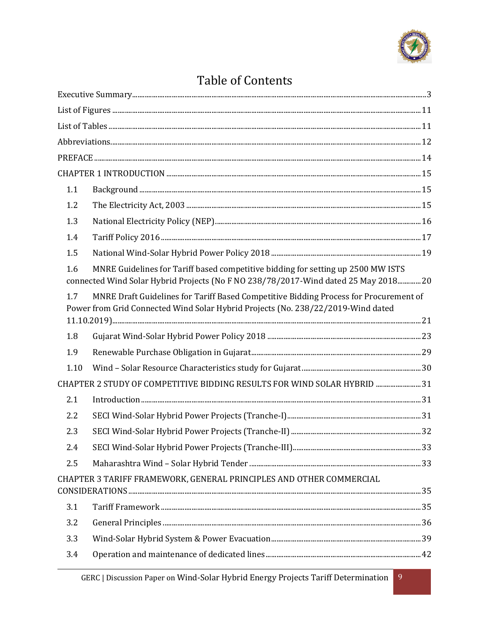

# **Table of Contents**

| 1.1  |                                                                                                                                                                           |  |
|------|---------------------------------------------------------------------------------------------------------------------------------------------------------------------------|--|
| 1.2  |                                                                                                                                                                           |  |
| 1.3  |                                                                                                                                                                           |  |
| 1.4  |                                                                                                                                                                           |  |
| 1.5  |                                                                                                                                                                           |  |
| 1.6  | MNRE Guidelines for Tariff based competitive bidding for setting up 2500 MW ISTS<br>connected Wind Solar Hybrid Projects (No F NO 238/78/2017-Wind dated 25 May 2018 20   |  |
| 1.7  | MNRE Draft Guidelines for Tariff Based Competitive Bidding Process for Procurement of<br>Power from Grid Connected Wind Solar Hybrid Projects (No. 238/22/2019-Wind dated |  |
| 1.8  |                                                                                                                                                                           |  |
| 1.9  |                                                                                                                                                                           |  |
| 1.10 |                                                                                                                                                                           |  |
|      | CHAPTER 2 STUDY OF COMPETITIVE BIDDING RESULTS FOR WIND SOLAR HYBRID  31                                                                                                  |  |
| 2.1  |                                                                                                                                                                           |  |
| 2.2  |                                                                                                                                                                           |  |
| 2.3  |                                                                                                                                                                           |  |
| 2.4  |                                                                                                                                                                           |  |
| 2.5  |                                                                                                                                                                           |  |
|      | CHAPTER 3 TARIFF FRAMEWORK, GENERAL PRINCIPLES AND OTHER COMMERCIAL                                                                                                       |  |
|      |                                                                                                                                                                           |  |
| 3.1  |                                                                                                                                                                           |  |
| 3.2  |                                                                                                                                                                           |  |
| 3.3  |                                                                                                                                                                           |  |
| 3.4  |                                                                                                                                                                           |  |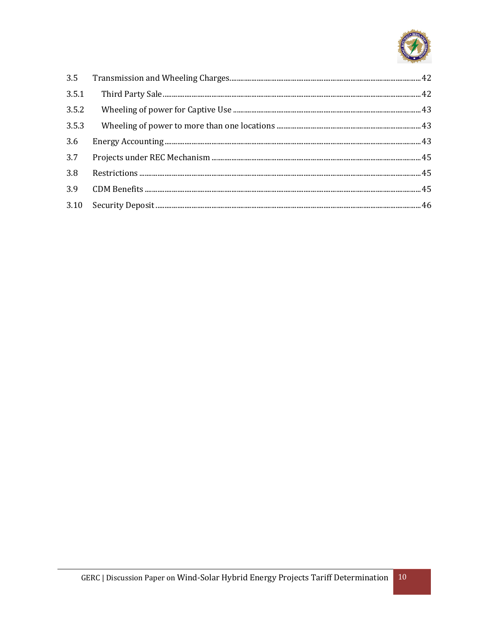

| 3.5.1 |  |
|-------|--|
| 3.5.2 |  |
| 3.5.3 |  |
| 3.6   |  |
| 3.7   |  |
| 3.8   |  |
| 3.9   |  |
|       |  |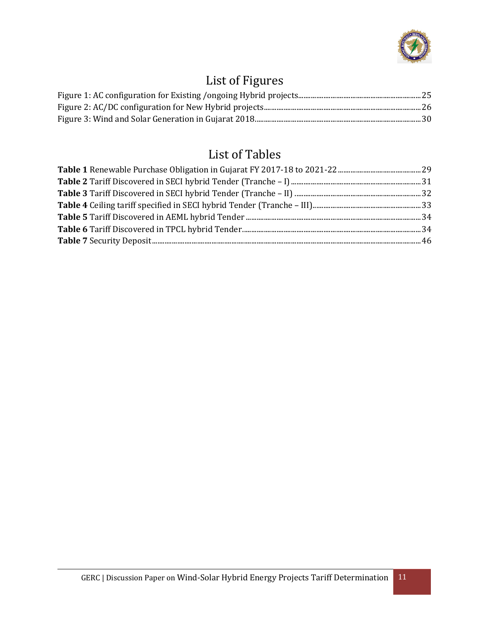

# List of Figures

# List of Tables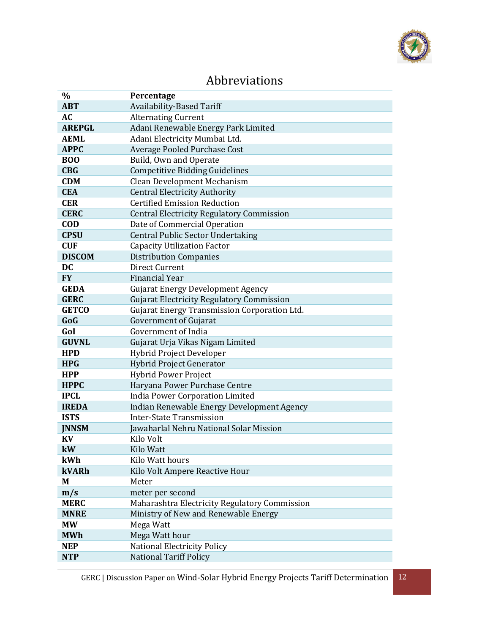

# Abbreviations

| $\%$                    | Percentage                                       |  |  |
|-------------------------|--------------------------------------------------|--|--|
| <b>ABT</b>              | Availability-Based Tariff                        |  |  |
| <b>AC</b>               | <b>Alternating Current</b>                       |  |  |
| <b>AREPGL</b>           | Adani Renewable Energy Park Limited              |  |  |
| <b>AEML</b>             | Adani Electricity Mumbai Ltd.                    |  |  |
| <b>APPC</b>             | Average Pooled Purchase Cost                     |  |  |
| <b>BOO</b>              | Build, Own and Operate                           |  |  |
| <b>CBG</b>              | <b>Competitive Bidding Guidelines</b>            |  |  |
| <b>CDM</b>              | Clean Development Mechanism                      |  |  |
| <b>CEA</b>              | <b>Central Electricity Authority</b>             |  |  |
| <b>CER</b>              | <b>Certified Emission Reduction</b>              |  |  |
| <b>CERC</b>             | <b>Central Electricity Regulatory Commission</b> |  |  |
| <b>COD</b>              | Date of Commercial Operation                     |  |  |
| <b>CPSU</b>             | <b>Central Public Sector Undertaking</b>         |  |  |
| <b>CUF</b>              | <b>Capacity Utilization Factor</b>               |  |  |
| <b>DISCOM</b>           | <b>Distribution Companies</b>                    |  |  |
| <b>DC</b>               | <b>Direct Current</b>                            |  |  |
| <b>FY</b>               | <b>Financial Year</b>                            |  |  |
| <b>GEDA</b>             | <b>Gujarat Energy Development Agency</b>         |  |  |
| <b>GERC</b>             | <b>Gujarat Electricity Regulatory Commission</b> |  |  |
| <b>GETCO</b>            | Gujarat Energy Transmission Corporation Ltd.     |  |  |
| GoG                     | <b>Government of Gujarat</b>                     |  |  |
| GoI                     | Government of India                              |  |  |
| <b>GUVNL</b>            | Gujarat Urja Vikas Nigam Limited                 |  |  |
| <b>HPD</b>              | Hybrid Project Developer                         |  |  |
| <b>HPG</b>              | <b>Hybrid Project Generator</b>                  |  |  |
| <b>HPP</b>              | <b>Hybrid Power Project</b>                      |  |  |
| <b>HPPC</b>             | Haryana Power Purchase Centre                    |  |  |
| <b>IPCL</b>             | <b>India Power Corporation Limited</b>           |  |  |
| <b>IREDA</b>            | Indian Renewable Energy Development Agency       |  |  |
| <b>ISTS</b>             | <b>Inter-State Transmission</b>                  |  |  |
| <b>JNNSM</b>            | Jawaharlal Nehru National Solar Mission          |  |  |
| KV                      | Kilo Volt                                        |  |  |
| kW                      | Kilo Watt                                        |  |  |
| kWh                     | Kilo Watt hours                                  |  |  |
| <b>kVARh</b>            | Kilo Volt Ampere Reactive Hour                   |  |  |
| M                       | Meter                                            |  |  |
| meter per second<br>m/s |                                                  |  |  |
| <b>MERC</b>             | Maharashtra Electricity Regulatory Commission    |  |  |
| <b>MNRE</b>             | Ministry of New and Renewable Energy             |  |  |
| <b>MW</b>               | Mega Watt                                        |  |  |
| <b>MWh</b>              | Mega Watt hour                                   |  |  |
| <b>NEP</b>              | <b>National Electricity Policy</b>               |  |  |
| <b>NTP</b>              | <b>National Tariff Policy</b>                    |  |  |

GERC | Discussion Paper on Wind-Solar Hybrid Energy Projects Tariff Determination 12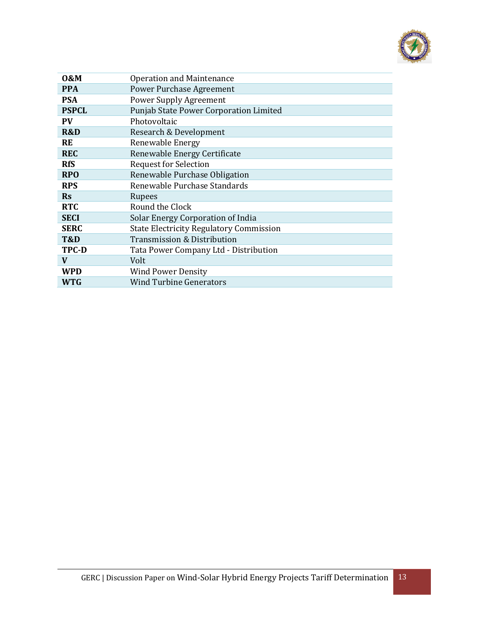

| 0&M                                        | <b>Operation and Maintenance</b>               |  |
|--------------------------------------------|------------------------------------------------|--|
| <b>PPA</b>                                 | <b>Power Purchase Agreement</b>                |  |
| <b>PSA</b>                                 | <b>Power Supply Agreement</b>                  |  |
| <b>PSPCL</b>                               | <b>Punjab State Power Corporation Limited</b>  |  |
| <b>PV</b>                                  | Photovoltaic                                   |  |
| R&D                                        | Research & Development                         |  |
| <b>RE</b>                                  | Renewable Energy                               |  |
| <b>REC</b>                                 | Renewable Energy Certificate                   |  |
| <b>RfS</b>                                 | <b>Request for Selection</b>                   |  |
| <b>RPO</b>                                 | Renewable Purchase Obligation                  |  |
| Renewable Purchase Standards<br><b>RPS</b> |                                                |  |
| $\mathbf{Rs}$                              | Rupees                                         |  |
| <b>RTC</b>                                 | Round the Clock                                |  |
| <b>SECI</b>                                | Solar Energy Corporation of India              |  |
| <b>SERC</b>                                | <b>State Electricity Regulatory Commission</b> |  |
| T&D                                        | Transmission & Distribution                    |  |
| TPC-D                                      | Tata Power Company Ltd - Distribution          |  |
| V                                          | Volt                                           |  |
| <b>WPD</b><br><b>Wind Power Density</b>    |                                                |  |
| <b>WTG</b>                                 | <b>Wind Turbine Generators</b>                 |  |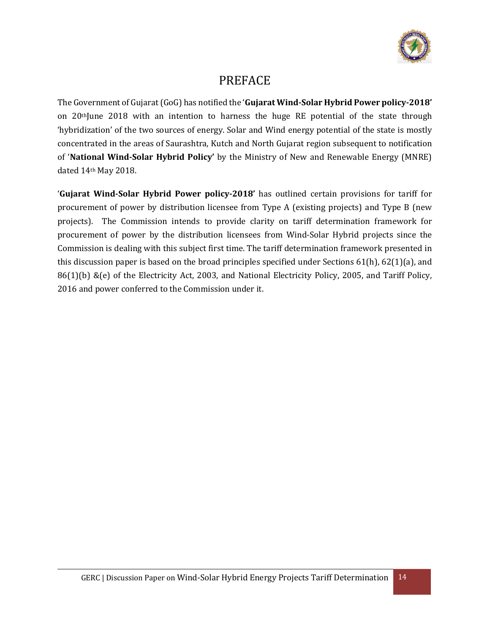

# PREFACE

The Government of Gujarat (GoG) has notified the **'Gujarat Wind-Solar Hybrid Power policy-2018'** on 20thJune 2018 with an intention to harness the huge RE potential of the state through 'hybridization' of the two sources of energy. Solar and Wind energy potential of the state is mostly concentrated in the areas of Saurashtra, Kutch and North Gujarat region subsequent to notification of 'National Wind-Solar Hybrid Policy' by the Ministry of New and Renewable Energy (MNRE) dated 14<sup>th</sup> May 2018.

'Gujarat Wind-Solar Hybrid Power policy-2018' has outlined certain provisions for tariff for procurement of power by distribution licensee from Type A (existing projects) and Type B (new projects). The Commission intends to provide clarity on tariff determination framework for procurement of power by the distribution licensees from Wind-Solar Hybrid projects since the Commission is dealing with this subject first time. The tariff determination framework presented in this discussion paper is based on the broad principles specified under Sections  $61(h)$ ,  $62(1)(a)$ , and  $86(1)(b)$  &(e) of the Electricity Act, 2003, and National Electricity Policy, 2005, and Tariff Policy, 2016 and power conferred to the Commission under it.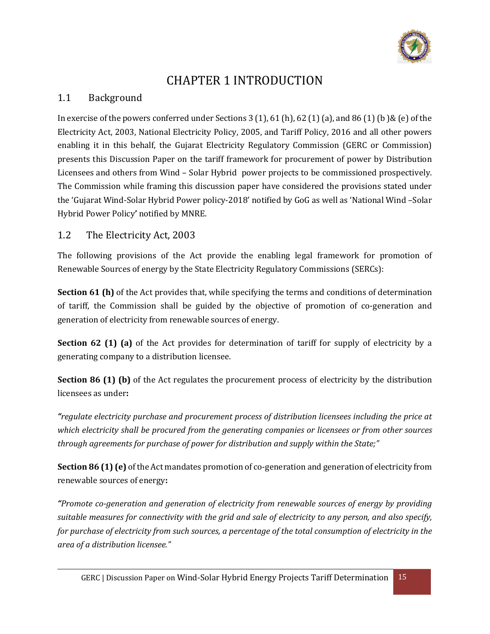

# CHAPTER 1 INTRODUCTION

# 1.1 Background

In exercise of the powers conferred under Sections  $3(1)$ ,  $61(h)$ ,  $62(1)(a)$ , and  $86(1)(b)$ & (e) of the Electricity Act, 2003, National Electricity Policy, 2005, and Tariff Policy, 2016 and all other powers enabling it in this behalf, the Gujarat Electricity Regulatory Commission (GERC or Commission) presents this Discussion Paper on the tariff framework for procurement of power by Distribution Licensees and others from Wind – Solar Hybrid power projects to be commissioned prospectively. The Commission while framing this discussion paper have considered the provisions stated under the 'Gujarat Wind-Solar Hybrid Power policy-2018' notified by GoG as well as 'National Wind -Solar Hybrid Power Policy**'** notified by MNRE. 

# 1.2 The Electricity Act, 2003

The following provisions of the Act provide the enabling legal framework for promotion of Renewable Sources of energy by the State Electricity Regulatory Commissions (SERCs):

**Section 61 (h)** of the Act provides that, while specifying the terms and conditions of determination of tariff, the Commission shall be guided by the objective of promotion of co-generation and generation of electricity from renewable sources of energy.

**Section 62 (1) (a)** of the Act provides for determination of tariff for supply of electricity by a generating company to a distribution licensee.

**Section 86 (1) (b)** of the Act regulates the procurement process of electricity by the distribution licensees as under:

*"regulate electricity purchase and procurement process of distribution licensees including the price at*  which electricity shall be procured from the generating companies or licensees or from other sources *through agreements for purchase of power for distribution and supply within the State;"* 

**Section 86 (1) (e)** of the Act mandates promotion of co-generation and generation of electricity from renewable sources of energy:

*"Promote co-generation and generation of electricity from renewable sources of energy by providing*  suitable measures for connectivity with the grid and sale of electricity to any person, and also specify, *for purchase of electricity from such sources, a percentage of the total consumption of electricity in the area of a distribution licensee."*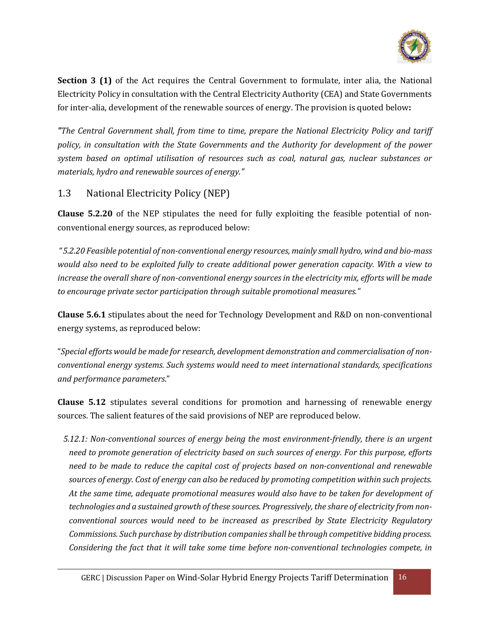

**Section 3 (1)** of the Act requires the Central Government to formulate, inter alia, the National Electricity Policy in consultation with the Central Electricity Authority (CEA) and State Governments for inter-alia, development of the renewable sources of energy. The provision is quoted below:

**"The Central Government shall, from time to time, prepare the National Electricity Policy and tariff** policy, in consultation with the State Governments and the Authority for development of the power *system based on optimal utilisation of resources such as coal, natural gas, nuclear substances or materials, hydro and renewable sources of energy."*

# 1.3 National Electricity Policy (NEP)

**Clause 5.2.20** of the NEP stipulates the need for fully exploiting the feasible potential of nonconventional energy sources, as reproduced below:

"*5.2.20 Feasible potential of non-conventional energy resources, mainly small hydro, wind and bio-mass would* also need to be exploited fully to create additional power generation capacity. With a view to *increase the overall share of non-conventional energy sources in the electricity mix, efforts will be made* to encourage private sector participation through suitable promotional measures."

**Clause 5.6.1** stipulates about the need for Technology Development and R&D on non-conventional energy systems, as reproduced below:

"Special efforts would be made for research, development demonstration and commercialisation of non*conventional energy systems. Such systems would need to meet international standards, specifications and performance parameters*."

**Clause 5.12** stipulates several conditions for promotion and harnessing of renewable energy sources. The salient features of the said provisions of NEP are reproduced below.

*5.12.1:* Non-conventional sources of energy being the most environment-friendly, there is an urgent *need to promote generation of electricity based on such sources of energy. For this purpose, efforts need* to be made to reduce the capital cost of projects based on non-conventional and renewable sources of energy. Cost of energy can also be reduced by promoting competition within such projects. At the same time, adequate promotional measures would also have to be taken for development of technologies and a sustained growth of these sources. Progressively, the share of electricity from non*conventional sources would need to be increased as prescribed by State Electricity Regulatory Commissions.* Such purchase by distribution companies shall be through competitive bidding process. *Considering the fact that it will take some time before non-conventional technologies compete, in*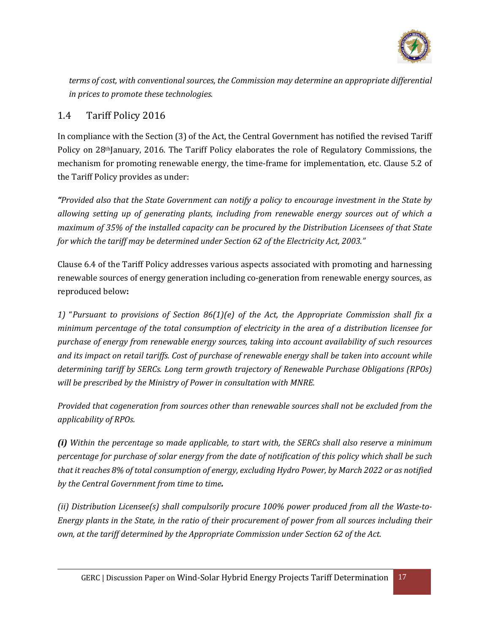

*terms* of cost, with conventional sources, the Commission may determine an appropriate differential *in prices to promote these technologies.* 

# 1.4 Tariff Policy 2016

In compliance with the Section (3) of the Act, the Central Government has notified the revised Tariff Policy on 28<sup>th</sup>January, 2016. The Tariff Policy elaborates the role of Regulatory Commissions, the mechanism for promoting renewable energy, the time-frame for implementation, etc. Clause 5.2 of the Tariff Policy provides as under:

*"Provided* also that the State Government can notify a policy to encourage investment in the State by *allowing setting up of generating plants, including from renewable energy sources out of which a maximum of 35% of the installed capacity can be procured by the Distribution Licensees of that State* for which the tariff may be determined under Section 62 of the Electricity Act, 2003."

Clause 6.4 of the Tariff Policy addresses various aspects associated with promoting and harnessing renewable sources of energy generation including co-generation from renewable energy sources, as reproduced below:

1) "Pursuant to provisions of Section 86(1)(e) of the Act, the Appropriate Commission shall fix a *minimum percentage of the total consumption of electricity in the area of a distribution licensee for* purchase of energy from renewable energy sources, taking into account availability of such resources and its impact on retail tariffs. Cost of purchase of renewable energy shall be taken into account while *determining tariff by SERCs. Long term growth trajectory of Renewable Purchase Obligations (RPOs)* will be prescribed by the Ministry of Power in consultation with MNRE.

*Provided that cogeneration from sources other than renewable sources shall not be excluded from the applicability of RPOs.* 

*(i)* Within the percentage so made applicable, to start with, the SERCs shall also reserve a minimum *percentage for purchase of solar energy from the date of notification of this policy which shall be such* that it reaches 8% of total consumption of energy, excluding Hydro Power, by March 2022 or as notified by the Central Government from time to time.

(ii) Distribution Licensee(s) shall compulsorily procure 100% power produced from all the Waste-to-*Energy plants in the State, in the ratio of their procurement of power from all sources including their own, at the tariff determined by the Appropriate Commission under Section 62 of the Act.*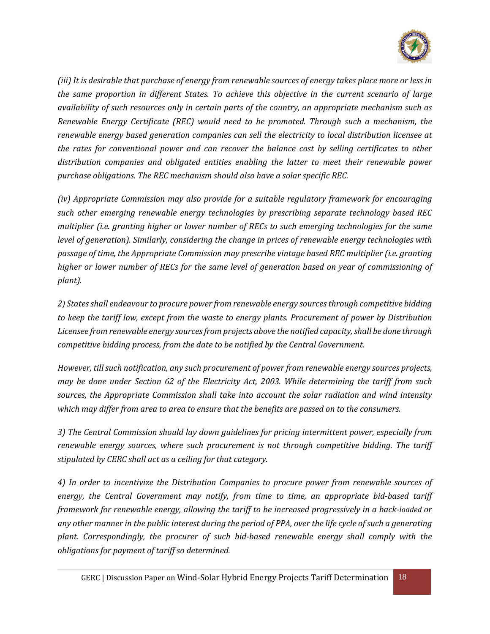

*(iii)* It is desirable that purchase of energy from renewable sources of energy takes place more or less in *the same proportion in different States. To achieve this objective in the current scenario of large availability* of such resources only in certain parts of the country, an appropriate mechanism such as *Renewable Energy Certificate (REC)* would need to be promoted. Through such a mechanism, the *renewable energy based generation companies can sell the electricity to local distribution licensee at the rates for conventional power and can recover the balance cost by selling certificates to other* distribution companies and obligated entities enabling the latter to meet their renewable power purchase obligations. The REC mechanism should also have a solar specific REC.

*(iv)* Appropriate Commission may also provide for a suitable regulatory framework for encouraging *such* other emerging renewable energy technologies by prescribing separate technology based REC *multiplier (i.e. granting higher or lower number of RECs to such emerging technologies for the same level* of generation). Similarly, considering the change in prices of renewable energy technologies with *passage of time, the Appropriate Commission may prescribe vintage based REC multiplier (i.e. granting higher or lower number of RECs for the same level of generation based on year of commissioning of plant).* 

2) States shall endeavour to procure power from renewable energy sources through competitive bidding to keep the tariff low, except from the waste to energy plants. Procurement of power by Distribution Licensee from renewable energy sources from projects above the notified capacity, shall be done through *competitive bidding process, from the date to be notified by the Central Government.* 

*However, till such notification, any such procurement of power from renewable energy sources projects, may* be done under Section 62 of the Electricity Act, 2003. While determining the tariff from such sources, the Appropriate Commission shall take into account the solar radiation and wind intensity which may differ from area to area to ensure that the benefits are passed on to the consumers.

3) The Central Commission should lay down guidelines for pricing intermittent power, especially from *renewable energy sources, where such procurement is not through competitive bidding. The tariff stipulated by CERC shall act as a ceiling for that category.* 

*4)* In order to incentivize the Distribution Companies to procure power from renewable sources of energy, the Central Government may notify, from time to time, an appropriate bid-based tariff *framework for renewable energy, allowing the tariff to be increased progressively in a back-loaded or* any other manner in the public interest during the period of PPA, over the life cycle of such a generating plant. Correspondingly, the procurer of such bid-based renewable energy shall comply with the *obligations for payment of tariff so determined.*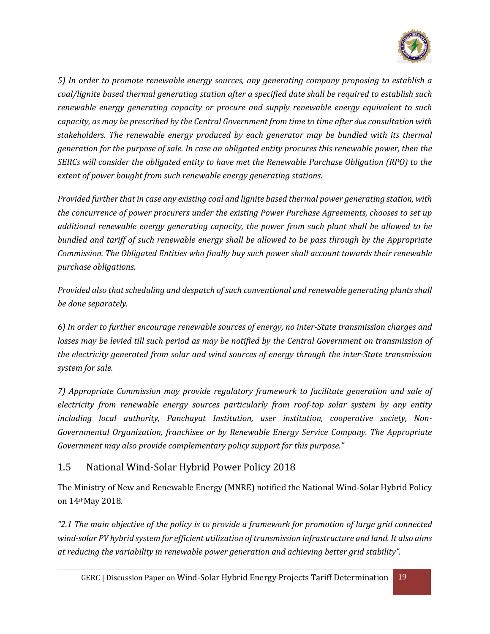

*5)* In order to promote renewable energy sources, any generating company proposing to establish a *coal/lignite based thermal generating station after a specified date shall be required to establish such renewable energy generating capacity or procure and supply renewable energy equivalent to such capacity, as may be prescribed by the Central Government from time to time after due consultation with* stakeholders. The renewable energy produced by each generator may be bundled with its thermal *generation for the purpose of sale. In case an obligated entity procures this renewable power, then the SERCs* will consider the obligated entity to have met the Renewable Purchase Obligation (RPO) to the extent of power bought from such renewable energy generating stations.

*Provided further that in case any existing coal and lignite based thermal power generating station, with the concurrence of power procurers under the existing Power Purchase Agreements, chooses to set up additional renewable energy generating capacity, the power from such plant shall be allowed to be bundled* and tariff of such renewable energy shall be allowed to be pass through by the Appropriate *Commission.* The Obligated Entities who finally buy such power shall account towards their renewable *purchase obligations.* 

*Provided also that scheduling and despatch of such conventional and renewable generating plants shall* be done separately.

6) In order to further encourage renewable sources of energy, no inter-State transmission charges and *losses* may be levied till such period as may be notified by the Central Government on transmission of the electricity generated from solar and wind sources of energy through the inter-State transmission system for sale.

*7) Appropriate Commission may provide regulatory framework to facilitate generation and sale of electricity* from renewable energy sources particularly from roof-top solar system by any entity including local authority, Panchayat Institution, user institution, cooperative society, Non-*Governmental Organization, franchisee or by Renewable Energy Service Company. The Appropriate Government may also provide complementary policy support for this purpose."* 

# 1.5 National Wind-Solar Hybrid Power Policy 2018

The Ministry of New and Renewable Energy (MNRE) notified the National Wind-Solar Hybrid Policy on 14thMay 2018.

"2.1 The main objective of the policy is to provide a framework for promotion of large grid connected wind-solar PV hybrid system for efficient utilization of transmission infrastructure and land. It also aims *at reducing the variability in renewable power generation and achieving better grid stability".*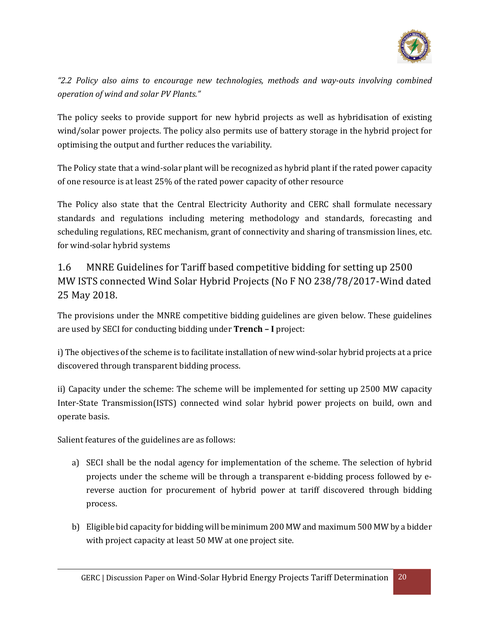

*"2.2 Policy also aims to encourage new technologies, methods and way-outs involving combined operation of wind and solar PV Plants."*

The policy seeks to provide support for new hybrid projects as well as hybridisation of existing wind/solar power projects. The policy also permits use of battery storage in the hybrid project for optimising the output and further reduces the variability.

The Policy state that a wind-solar plant will be recognized as hybrid plant if the rated power capacity of one resource is at least 25% of the rated power capacity of other resource

The Policy also state that the Central Electricity Authority and CERC shall formulate necessary standards and regulations including metering methodology and standards, forecasting and scheduling regulations, REC mechanism, grant of connectivity and sharing of transmission lines, etc. for wind-solar hybrid systems

# 1.6 MNRE Guidelines for Tariff based competitive bidding for setting up 2500 MW ISTS connected Wind Solar Hybrid Projects (No F NO 238/78/2017-Wind dated 25 May 2018.

The provisions under the MNRE competitive bidding guidelines are given below. These guidelines are used by SECI for conducting bidding under **Trench** - I project:

i) The objectives of the scheme is to facilitate installation of new wind-solar hybrid projects at a price discovered through transparent bidding process.

ii) Capacity under the scheme: The scheme will be implemented for setting up 2500 MW capacity Inter-State Transmission(ISTS) connected wind solar hybrid power projects on build, own and operate basis.

Salient features of the guidelines are as follows:

- a) SECI shall be the nodal agency for implementation of the scheme. The selection of hybrid projects under the scheme will be through a transparent e-bidding process followed by ereverse auction for procurement of hybrid power at tariff discovered through bidding process.
- b) Eligible bid capacity for bidding will be minimum 200 MW and maximum 500 MW by a bidder with project capacity at least 50 MW at one project site.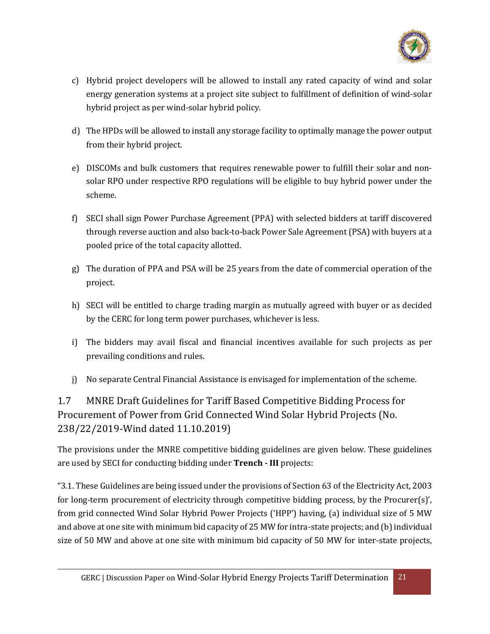

- c) Hybrid project developers will be allowed to install any rated capacity of wind and solar energy generation systems at a project site subject to fulfillment of definition of wind-solar hybrid project as per wind-solar hybrid policy.
- d) The HPDs will be allowed to install any storage facility to optimally manage the power output from their hybrid project.
- e) DISCOMs and bulk customers that requires renewable power to fulfill their solar and nonsolar RPO under respective RPO regulations will be eligible to buy hybrid power under the scheme.
- f) SECI shall sign Power Purchase Agreement (PPA) with selected bidders at tariff discovered through reverse auction and also back-to-back Power Sale Agreement (PSA) with buyers at a pooled price of the total capacity allotted.
- g) The duration of PPA and PSA will be 25 years from the date of commercial operation of the project.
- h) SECI will be entitled to charge trading margin as mutually agreed with buyer or as decided by the CERC for long term power purchases, whichever is less.
- i) The bidders may avail fiscal and financial incentives available for such projects as per prevailing conditions and rules.
- j) No separate Central Financial Assistance is envisaged for implementation of the scheme.

# 1.7 MNRE Draft Guidelines for Tariff Based Competitive Bidding Process for Procurement of Power from Grid Connected Wind Solar Hybrid Projects (No. 238/22/2019-Wind dated 11.10.2019)

The provisions under the MNRE competitive bidding guidelines are given below. These guidelines are used by SECI for conducting bidding under **Trench - III** projects:

"3.1. These Guidelines are being issued under the provisions of Section 63 of the Electricity Act, 2003 for long-term procurement of electricity through competitive bidding process, by the Procurer(s)', from grid connected Wind Solar Hybrid Power Projects ('HPP') having, (a) individual size of 5 MW and above at one site with minimum bid capacity of 25 MW for intra-state projects; and (b) individual size of 50 MW and above at one site with minimum bid capacity of 50 MW for inter-state projects,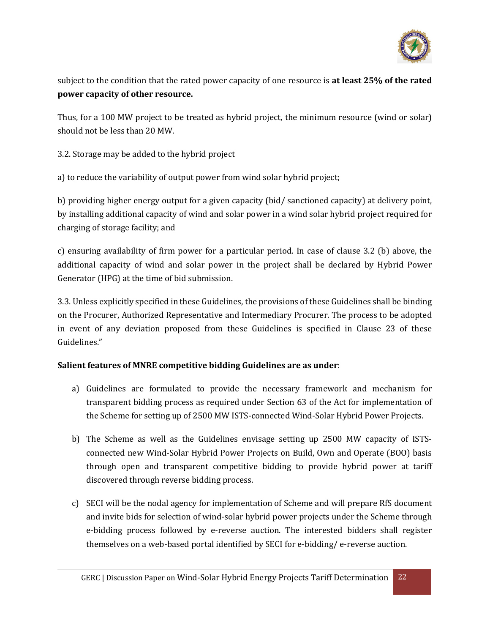

subject to the condition that the rated power capacity of one resource is at least 25% of the rated **power capacity of other resource.** 

Thus, for a 100 MW project to be treated as hybrid project, the minimum resource (wind or solar) should not be less than 20 MW.

3.2. Storage may be added to the hybrid project

a) to reduce the variability of output power from wind solar hybrid project;

b) providing higher energy output for a given capacity (bid/ sanctioned capacity) at delivery point, by installing additional capacity of wind and solar power in a wind solar hybrid project required for charging of storage facility; and

c) ensuring availability of firm power for a particular period. In case of clause 3.2 (b) above, the additional capacity of wind and solar power in the project shall be declared by Hybrid Power Generator (HPG) at the time of bid submission.

3.3. Unless explicitly specified in these Guidelines, the provisions of these Guidelines shall be binding on the Procurer, Authorized Representative and Intermediary Procurer. The process to be adopted in event of any deviation proposed from these Guidelines is specified in Clause 23 of these Guidelines." 

## **Salient features of MNRE competitive bidding Guidelines are as under:**

- a) Guidelines are formulated to provide the necessary framework and mechanism for transparent bidding process as required under Section 63 of the Act for implementation of the Scheme for setting up of 2500 MW ISTS-connected Wind-Solar Hybrid Power Projects.
- b) The Scheme as well as the Guidelines envisage setting up 2500 MW capacity of ISTSconnected new Wind-Solar Hybrid Power Projects on Build, Own and Operate (BOO) basis through open and transparent competitive bidding to provide hybrid power at tariff discovered through reverse bidding process.
- c) SECI will be the nodal agency for implementation of Scheme and will prepare RfS document and invite bids for selection of wind-solar hybrid power projects under the Scheme through e-bidding process followed by e-reverse auction. The interested bidders shall register themselves on a web-based portal identified by SECI for e-bidding/ e-reverse auction.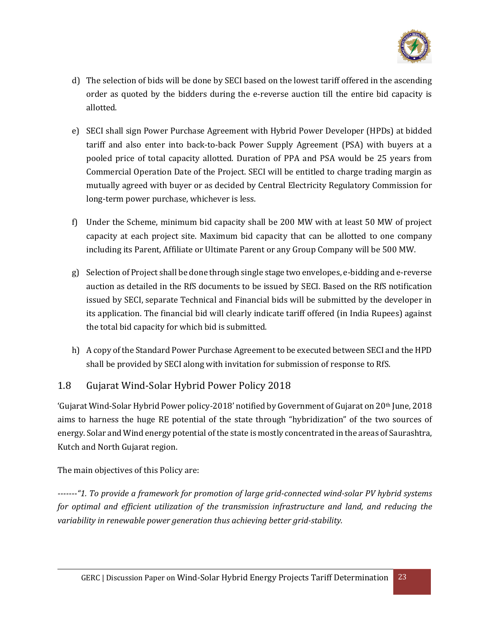

- d) The selection of bids will be done by SECI based on the lowest tariff offered in the ascending order as quoted by the bidders during the e-reverse auction till the entire bid capacity is allotted.
- e) SECI shall sign Power Purchase Agreement with Hybrid Power Developer (HPDs) at bidded tariff and also enter into back-to-back Power Supply Agreement (PSA) with buyers at a pooled price of total capacity allotted. Duration of PPA and PSA would be 25 years from Commercial Operation Date of the Project. SECI will be entitled to charge trading margin as mutually agreed with buyer or as decided by Central Electricity Regulatory Commission for long-term power purchase, whichever is less.
- f) Under the Scheme, minimum bid capacity shall be 200 MW with at least 50 MW of project capacity at each project site. Maximum bid capacity that can be allotted to one company including its Parent, Affiliate or Ultimate Parent or any Group Company will be 500 MW.
- g) Selection of Project shall be done through single stage two envelopes, e-bidding and e-reverse auction as detailed in the RfS documents to be issued by SECI. Based on the RfS notification issued by SECI, separate Technical and Financial bids will be submitted by the developer in its application. The financial bid will clearly indicate tariff offered (in India Rupees) against the total bid capacity for which bid is submitted.
- h) A copy of the Standard Power Purchase Agreement to be executed between SECI and the HPD shall be provided by SECI along with invitation for submission of response to RfS.

# 1.8 Gujarat Wind-Solar Hybrid Power Policy 2018

'Gujarat Wind-Solar Hybrid Power policy-2018' notified by Government of Gujarat on 20<sup>th</sup> June, 2018 aims to harness the huge RE potential of the state through "hybridization" of the two sources of energy. Solar and Wind energy potential of the state is mostly concentrated in the areas of Saurashtra, Kutch and North Gujarat region.

The main objectives of this Policy are:

*-------"1. To provide a framework for promotion of large grid-connected wind-solar PV hybrid systems for* optimal and efficient utilization of the transmission infrastructure and land, and reducing the *variability in renewable power generation thus achieving better grid-stability.*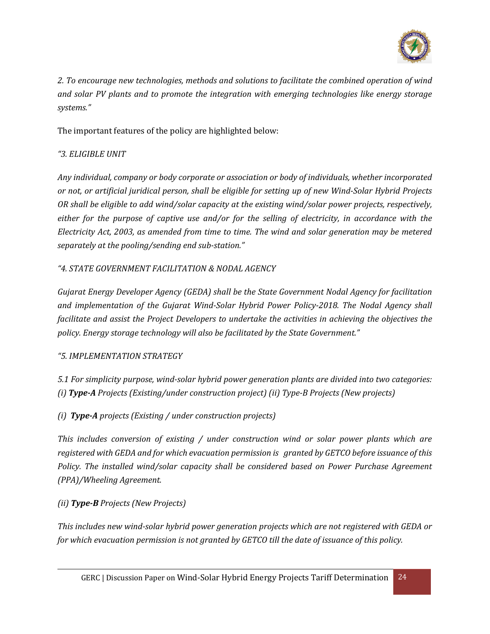

2. To encourage new technologies, methods and solutions to facilitate the combined operation of wind and solar PV plants and to promote the integration with emerging technologies like energy storage *systems."*

The important features of the policy are highlighted below:

# *"3. ELIGIBLE UNIT*

Any individual, company or body corporate or association or body of individuals, whether incorporated *or* not, or artificial juridical person, shall be eligible for setting up of new Wind-Solar Hybrid Projects *OR* shall be eligible to add wind/solar capacity at the existing wind/solar power projects, respectively, either for the purpose of captive use and/or for the selling of electricity, in accordance with the *Electricity Act, 2003, as amended from time to time. The wind and solar generation may be metered* separately at the pooling/sending end sub-station."

# *"4. STATE GOVERNMENT FACILITATION & NODAL AGENCY*

*Gujarat Energy Developer Agency (GEDA)* shall be the State Government Nodal Agency for facilitation and *implementation of the Gujarat Wind-Solar Hybrid Power Policy-2018. The Nodal Agency shall facilitate and assist the Project Developers to undertake the activities in achieving the objectives the* policy. Energy storage technology will also be facilitated by the State Government."

# *"5. IMPLEMENTATION STRATEGY*

*5.1 For simplicity purpose, wind-solar hybrid power generation plants are divided into two categories: (i)* **Type-A** *Projects (Existing/under construction project) (ii)* Type-B *Projects (New projects)* 

*(i) Type-A projects (Existing / under construction projects)* 

*This* includes conversion of existing / under construction wind or solar power plants which are registered with GEDA and for which evacuation permission is granted by GETCO before issuance of this *Policy.* The installed wind/solar capacity shall be considered based on Power Purchase Agreement *(PPA)/Wheeling Agreement.*

# *(ii) Type-B Projects (New Projects)*

This includes new wind-solar hybrid power generation projects which are not registered with GEDA or *for* which evacuation permission is not granted by GETCO till the date of issuance of this policy.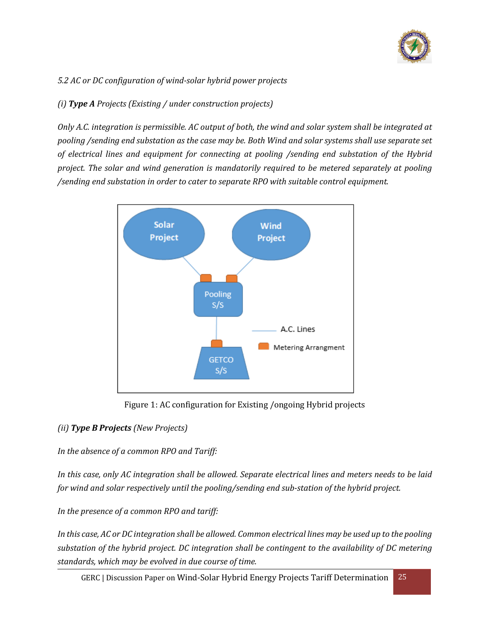

## *5.2 AC or DC configuration of wind-solar hybrid power projects*

#### *(i)* **Type A** Projects *(Existing / under construction projects)*

*Only* A.C. integration is permissible. AC output of both, the wind and solar system shall be integrated at *pooling* /sending end substation as the case may be. Both Wind and solar systems shall use separate set of electrical lines and equipment for connecting at pooling / sending end substation of the Hybrid *project.* The solar and wind generation is mandatorily required to be metered separately at pooling /sending end substation in order to cater to separate RPO with suitable control equipment.



Figure 1: AC configuration for Existing /ongoing Hybrid projects

## *(ii) Type B Projects (New Projects)*

In the absence of a common RPO and Tariff:

*In* this case, only AC integration shall be allowed. Separate electrical lines and meters needs to be laid for wind and solar respectively until the pooling/sending end sub-station of the hybrid project.

In the presence of a common RPO and tariff:

*In* this case, AC or DC integration shall be allowed. Common electrical lines may be used up to the pooling substation of the hybrid project. DC integration shall be contingent to the availability of DC metering standards, which may be evolved in due course of time.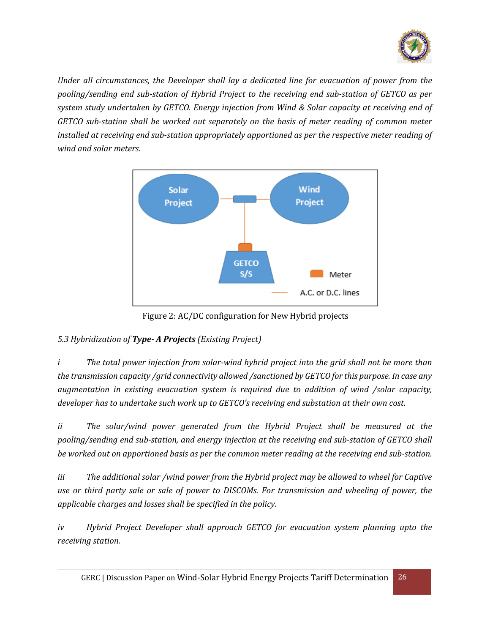

*Under all circumstances, the Developer shall lay a dedicated line for evacuation of power from the* pooling/sending end sub-station of Hybrid Project to the receiving end sub-station of GETCO as per system study undertaken by GETCO. Energy injection from Wind & Solar capacity at receiving end of *GETCO* sub-station shall be worked out separately on the basis of meter reading of common meter *installed* at receiving end sub-station appropriately apportioned as per the respective meter reading of *wind and solar meters.*



Figure 2: AC/DC configuration for New Hybrid projects

# 5.3 Hybridization of **Type- A Projects** (Existing Project)

*i The total power injection from solar-wind hybrid project into the arid shall not be more than* the transmission capacity /grid connectivity allowed /sanctioned by GETCO for this purpose. In case any *augmentation in existing evacuation system is required due to addition of wind /solar capacity, developer has to undertake such work up to GETCO's receiving end substation at their own cost.* 

*ii The solar/wind power generated from the Hybrid Project shall be measured at the* pooling/sending end sub-station, and energy injection at the receiving end sub-station of GETCO shall *be* worked out on apportioned basis as per the common meter reading at the receiving end sub-station.

*iii* The additional solar /wind power from the Hybrid project may be allowed to wheel for Captive use or third party sale or sale of power to DISCOMs. For transmission and wheeling of power, the applicable charges and losses shall be specified in the policy.

*iv Hybrid Project Developer shall approach GETCO for evacuation system planning upto the receiving station.*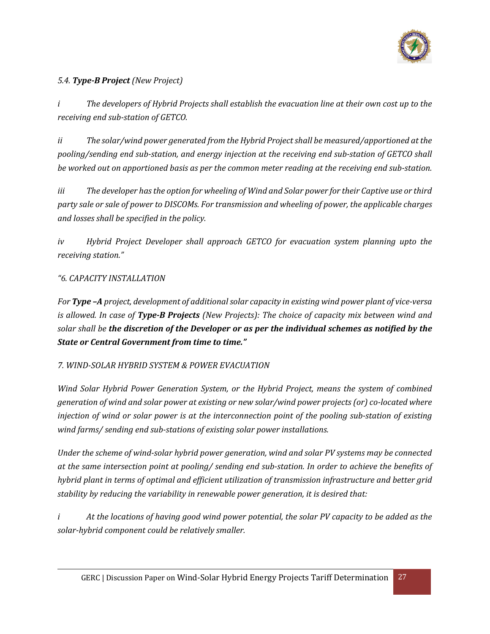

## *5.4. Type-B Project (New Project)*

*i* The developers of Hybrid Projects shall establish the evacuation line at their own cost up to the *receiving end sub-station of GETCO.* 

*ii* The solar/wind power generated from the Hybrid Project shall be measured/apportioned at the *pooling/sending end sub-station, and energy injection at the receiving end sub-station of GETCO shall be* worked out on apportioned basis as per the common meter reading at the receiving end sub-station.

*iii* The developer has the option for wheeling of Wind and Solar power for their Captive use or third *party* sale or sale of power to DISCOMs. For transmission and wheeling of power, the applicable charges *and losses shall be specified in the policy.*

*iv Hybrid Project Developer shall approach GETCO for evacuation system planning upto the receiving station."*

## *"6. CAPACITY INSTALLATION*

*For Type* –A project, development of additional solar capacity in existing wind power plant of vice-versa *is* allowed. In case of **Type-B Projects** (New Projects): The choice of capacity mix between wind and solar shall be the discretion of the Developer or as per the individual schemes as notified by the **State or Central Government from time to time."** 

## *7. WIND-SOLAR HYBRID SYSTEM & POWER EVACUATION*

*Wind Solar Hybrid Power Generation System, or the Hybrid Project, means the system of combined generation of wind and solar power at existing or new solar/wind power projects (or) co-located where injection of wind or solar power is at the interconnection point of the pooling sub-station of existing wind farms/* sending end sub-stations of existing solar power installations.

*Under the scheme of wind-solar hybrid power generation, wind and solar PV systems may be connected at* the same intersection point at pooling/ sending end sub-station. In order to achieve the benefits of *hybrid plant in terms of optimal and efficient utilization of transmission infrastructure and better grid stability by reducing the variability in renewable power generation, it is desired that:* 

*i At the locations of having good wind power potential, the solar PV capacity to be added as the* solar-hybrid component could be relatively smaller.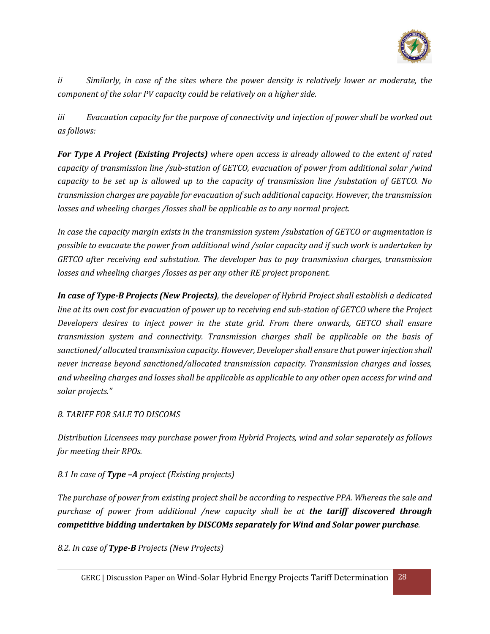

*ii* Similarly, in case of the sites where the power density is relatively lower or moderate, the *component of the solar PV capacity could be relatively on a higher side.* 

*iii Evacuation capacity for the purpose of connectivity and injection of power shall be worked out as follows:*

**For Type A Project (Existing Projects)** where open access is already allowed to the extent of rated *capacity* of transmission line /sub-station of GETCO, evacuation of power from additional solar /wind *capacity* to be set up is allowed up to the capacity of transmission line /substation of GETCO. No *transmission charges are payable for evacuation of such additional capacity. However, the transmission losses and wheeling charges* /losses shall be applicable as to any normal project.

*In case the capacity margin exists in the transmission system /substation of GETCO or augmentation is possible to evacuate the power from additional wind /solar capacity and if such work is undertaken by GETCO* after receiving end substation. The developer has to pay transmission charges, transmission *losses and wheeling charges* /losses as per any other RE project proponent.

*In case of Type-B Projects (New Projects), the developer of Hybrid Project shall establish a dedicated line* at its own cost for evacuation of power up to receiving end sub-station of GETCO where the Project *Developers* desires to inject power in the state grid. From there onwards, GETCO shall ensure *transmission system and connectivity. Transmission charges shall be applicable on the basis of*  sanctioned/allocated transmission capacity. However, Developer shall ensure that power injection shall *never increase beyond sanctioned/allocated transmission capacity. Transmission charges and losses,* and wheeling charges and losses shall be applicable as applicable to any other open access for wind and *solar projects."*

#### *8. TARIFF FOR SALE TO DISCOMS*

Distribution Licensees may purchase power from Hybrid Projects, wind and solar separately as follows *for meeting their RPOs.* 

## 8.1 In case of **Type -A** project (Existing projects)

The purchase of power from existing project shall be according to respective PPA. Whereas the sale and *purchase* of power from additional /new capacity shall be at **the tariff discovered through** *competitive bidding undertaken by DISCOMs separately for Wind and Solar power purchase.* 

*8.2. In case of Type-B Projects (New Projects)*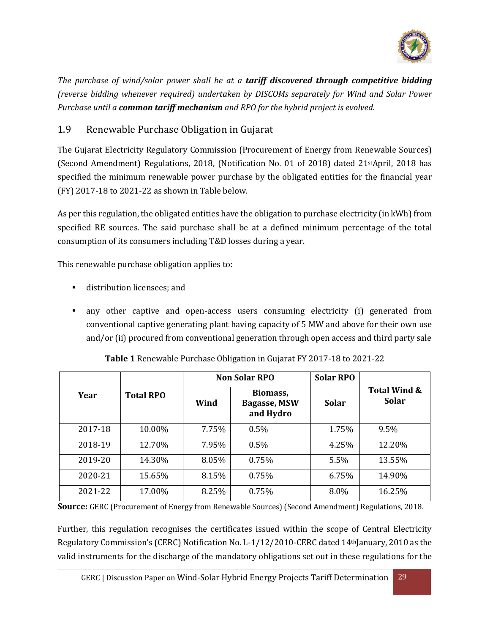

*The purchase of wind/solar power shall be at a tariff discovered through competitive bidding (reverse bidding whenever required)* undertaken by DISCOMs separately for Wind and Solar Power *Purchase until a common tariff mechanism and RPO for the hybrid project is evolved.* 

# 1.9 Renewable Purchase Obligation in Gujarat

The Gujarat Electricity Regulatory Commission (Procurement of Energy from Renewable Sources) (Second Amendment) Regulations, 2018, (Notification No. 01 of 2018) dated 21<sup>st</sup>April, 2018 has specified the minimum renewable power purchase by the obligated entities for the financial year (FY) 2017-18 to 2021-22 as shown in Table below.

As per this regulation, the obligated entities have the obligation to purchase electricity (in kWh) from specified RE sources. The said purchase shall be at a defined minimum percentage of the total consumption of its consumers including T&D losses during a year.

This renewable purchase obligation applies to:

- distribution licensees; and
- any other captive and open-access users consuming electricity (i) generated from conventional captive generating plant having capacity of 5 MW and above for their own use and/or (ii) procured from conventional generation through open access and third party sale

|         | <b>Total RPO</b> | <b>Non Solar RPO</b> |                                              | <b>Solar RPO</b> |                              |
|---------|------------------|----------------------|----------------------------------------------|------------------|------------------------------|
| Year    |                  | Wind                 | Biomass,<br><b>Bagasse, MSW</b><br>and Hydro | <b>Solar</b>     | Total Wind &<br><b>Solar</b> |
| 2017-18 | 10.00%           | 7.75%                | 0.5%                                         | 1.75%            | 9.5%                         |
| 2018-19 | 12.70%           | 7.95%                | 0.5%                                         | 4.25%            | 12.20%                       |
| 2019-20 | 14.30%           | 8.05%                | 0.75%                                        | 5.5%             | 13.55%                       |
| 2020-21 | 15.65%           | 8.15%                | 0.75%                                        | 6.75%            | 14.90%                       |
| 2021-22 | 17.00%           | 8.25%                | 0.75%                                        | 8.0%             | 16.25%                       |

**Table 1** Renewable Purchase Obligation in Gujarat FY 2017-18 to 2021-22

**Source:** GERC (Procurement of Energy from Renewable Sources) (Second Amendment) Regulations, 2018.

Further, this regulation recognises the certificates issued within the scope of Central Electricity Regulatory Commission's (CERC) Notification No. L-1/12/2010-CERC dated  $14<sup>th</sup>$  [anuary, 2010 as the valid instruments for the discharge of the mandatory obligations set out in these regulations for the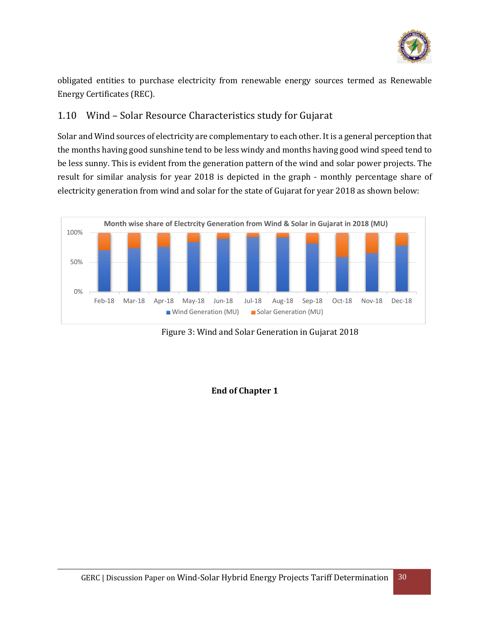

obligated entities to purchase electricity from renewable energy sources termed as Renewable Energy Certificates (REC).

# 1.10 Wind - Solar Resource Characteristics study for Gujarat

Solar and Wind sources of electricity are complementary to each other. It is a general perception that the months having good sunshine tend to be less windy and months having good wind speed tend to be less sunny. This is evident from the generation pattern of the wind and solar power projects. The result for similar analysis for year 2018 is depicted in the graph - monthly percentage share of electricity generation from wind and solar for the state of Gujarat for year 2018 as shown below:



Figure 3: Wind and Solar Generation in Gujarat 2018

End of Chapter 1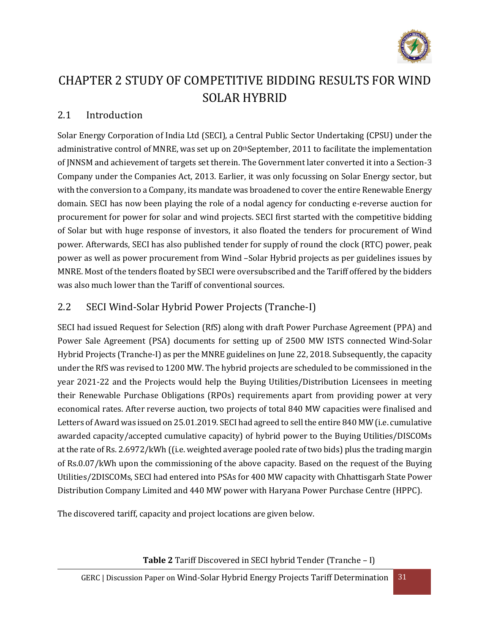

# CHAPTER 2 STUDY OF COMPETITIVE BIDDING RESULTS FOR WIND SOLAR HYBRID

# 2.1 Introduction

Solar Energy Corporation of India Ltd (SECI), a Central Public Sector Undertaking (CPSU) under the administrative control of MNRE, was set up on 20<sup>th</sup>September, 2011 to facilitate the implementation of JNNSM and achievement of targets set therein. The Government later converted it into a Section-3 Company under the Companies Act, 2013. Earlier, it was only focussing on Solar Energy sector, but with the conversion to a Company, its mandate was broadened to cover the entire Renewable Energy domain. SECI has now been playing the role of a nodal agency for conducting e-reverse auction for procurement for power for solar and wind projects. SECI first started with the competitive bidding of Solar but with huge response of investors, it also floated the tenders for procurement of Wind power. Afterwards, SECI has also published tender for supply of round the clock (RTC) power, peak power as well as power procurement from Wind –Solar Hybrid projects as per guidelines issues by MNRE. Most of the tenders floated by SECI were oversubscribed and the Tariff offered by the bidders was also much lower than the Tariff of conventional sources.

# 2.2 SECI Wind-Solar Hybrid Power Projects (Tranche-I)

SECI had issued Request for Selection (RfS) along with draft Power Purchase Agreement (PPA) and Power Sale Agreement (PSA) documents for setting up of 2500 MW ISTS connected Wind-Solar Hybrid Projects (Tranche-I) as per the MNRE guidelines on June 22, 2018. Subsequently, the capacity under the RfS was revised to 1200 MW. The hybrid projects are scheduled to be commissioned in the year 2021-22 and the Projects would help the Buying Utilities/Distribution Licensees in meeting their Renewable Purchase Obligations (RPOs) requirements apart from providing power at very economical rates. After reverse auction, two projects of total 840 MW capacities were finalised and Letters of Award was issued on 25.01.2019. SECI had agreed to sell the entire 840 MW (i.e. cumulative awarded capacity/accepted cumulative capacity) of hybrid power to the Buying Utilities/DISCOMs at the rate of Rs. 2.6972/kWh ((i.e. weighted average pooled rate of two bids) plus the trading margin of Rs.0.07/kWh upon the commissioning of the above capacity. Based on the request of the Buying Utilities/2DISCOMs, SECI had entered into PSAs for 400 MW capacity with Chhattisgarh State Power Distribution Company Limited and 440 MW power with Haryana Power Purchase Centre (HPPC).

The discovered tariff, capacity and project locations are given below.

**Table 2** Tariff Discovered in SECI hybrid Tender (Tranche – I)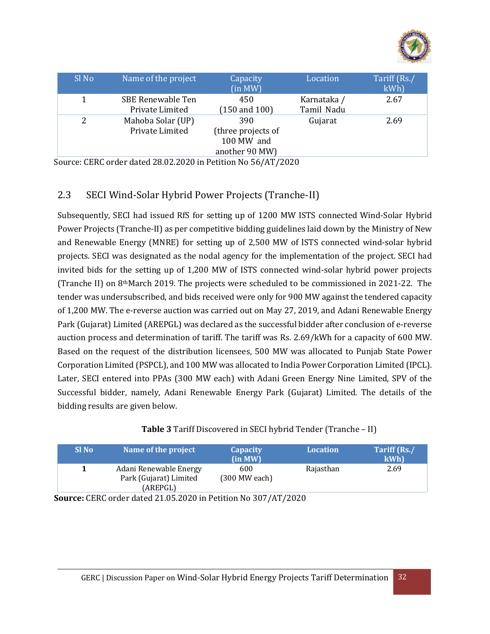

| SI No | Name of the project                         | Capacity<br>(in MW)                                       | Location                  | Tariff (Rs./<br>kWh) |
|-------|---------------------------------------------|-----------------------------------------------------------|---------------------------|----------------------|
|       | <b>SBE Renewable Ten</b><br>Private Limited | 450<br>$(150 \text{ and } 100)$                           | Karnataka /<br>Tamil Nadu | 2.67                 |
|       | Mahoba Solar (UP)<br>Private Limited        | 390<br>(three projects of<br>100 MW and<br>another 90 MW) | Gujarat                   | 2.69                 |

Source: CERC order dated 28.02.2020 in Petition No 56/AT/2020

# 2.3 SECI Wind-Solar Hybrid Power Projects (Tranche-II)

Subsequently, SECI had issued RfS for setting up of 1200 MW ISTS connected Wind-Solar Hybrid Power Projects (Tranche-II) as per competitive bidding guidelines laid down by the Ministry of New and Renewable Energy (MNRE) for setting up of 2,500 MW of ISTS connected wind-solar hybrid projects. SECI was designated as the nodal agency for the implementation of the project. SECI had invited bids for the setting up of 1,200 MW of ISTS connected wind-solar hybrid power projects (Tranche II) on 8<sup>th</sup>March 2019. The projects were scheduled to be commissioned in 2021-22. The tender was undersubscribed, and bids received were only for 900 MW against the tendered capacity of 1,200 MW. The e-reverse auction was carried out on May 27, 2019, and Adani Renewable Energy Park (Gujarat) Limited (AREPGL) was declared as the successful bidder after conclusion of e-reverse auction process and determination of tariff. The tariff was Rs. 2.69/kWh for a capacity of 600 MW. Based on the request of the distribution licensees, 500 MW was allocated to Punjab State Power Corporation Limited (PSPCL), and 100 MW was allocated to India Power Corporation Limited (IPCL). Later, SECI entered into PPAs (300 MW each) with Adani Green Energy Nine Limited, SPV of the Successful bidder, namely, Adani Renewable Energy Park (Gujarat) Limited. The details of the bidding results are given below.

**Table 3** Tariff Discovered in SECI hybrid Tender (Tranche – II)

| SI No | Name of the project                                          | <b>Capacity</b><br>(in MW) | <b>Location</b> | Tariff (Rs./<br>kWh |
|-------|--------------------------------------------------------------|----------------------------|-----------------|---------------------|
|       | Adani Renewable Energy<br>Park (Gujarat) Limited<br>(AREPGL) | 600<br>$(300 MW$ each)     | Rajasthan       | 2.69                |

**Source:** CERC order dated 21.05.2020 in Petition No 307/AT/2020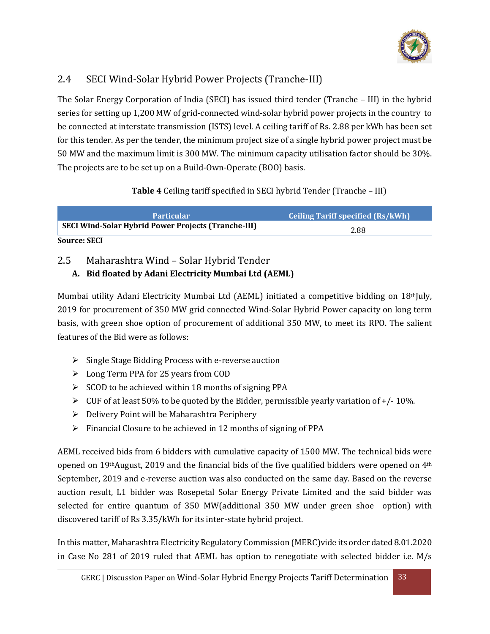

# 2.4 SECI Wind-Solar Hybrid Power Projects (Tranche-III)

The Solar Energy Corporation of India (SECI) has issued third tender (Tranche  $-$  III) in the hybrid series for setting up 1,200 MW of grid-connected wind-solar hybrid power projects in the country to be connected at interstate transmission (ISTS) level. A ceiling tariff of Rs. 2.88 per kWh has been set for this tender. As per the tender, the minimum project size of a single hybrid power project must be 50 MW and the maximum limit is 300 MW. The minimum capacity utilisation factor should be 30%. The projects are to be set up on a Build-Own-Operate (BOO) basis.

## **Table 4** Ceiling tariff specified in SECI hybrid Tender (Tranche – III)

| <b>\Particular</b>                                         | <b>Ceiling Tariff specified (Rs/kWh)</b> |
|------------------------------------------------------------|------------------------------------------|
| <b>SECI Wind-Solar Hybrid Power Projects (Tranche-III)</b> | 2.88                                     |
| $\sim$ $\sim$ $\sim$                                       |                                          |

#### **Source: SECI**

# 2.5 Maharashtra Wind - Solar Hybrid Tender

# A. Bid floated by Adani Electricity Mumbai Ltd (AEML)

Mumbai utility Adani Electricity Mumbai Ltd (AEML) initiated a competitive bidding on  $18<sup>th</sup>$  [uly, 2019 for procurement of 350 MW grid connected Wind-Solar Hybrid Power capacity on long term basis, with green shoe option of procurement of additional 350 MW, to meet its RPO. The salient features of the Bid were as follows:

- $\triangleright$  Single Stage Bidding Process with e-reverse auction
- $\triangleright$  Long Term PPA for 25 years from COD
- $\triangleright$  SCOD to be achieved within 18 months of signing PPA
- $\triangleright$  CUF of at least 50% to be quoted by the Bidder, permissible yearly variation of  $+/-10$ %.
- $\triangleright$  Delivery Point will be Maharashtra Periphery
- $\triangleright$  Financial Closure to be achieved in 12 months of signing of PPA

AEML received bids from 6 bidders with cumulative capacity of 1500 MW. The technical bids were opened on 19<sup>th</sup>August, 2019 and the financial bids of the five qualified bidders were opened on  $4<sup>th</sup>$ September, 2019 and e-reverse auction was also conducted on the same day. Based on the reverse auction result, L1 bidder was Rosepetal Solar Energy Private Limited and the said bidder was selected for entire quantum of 350 MW(additional 350 MW under green shoe option) with discovered tariff of Rs 3.35/kWh for its inter-state hybrid project.

In this matter, Maharashtra Electricity Regulatory Commission (MERC) vide its order dated 8.01.2020 in Case No 281 of 2019 ruled that AEML has option to renegotiate with selected bidder i.e.  $M/s$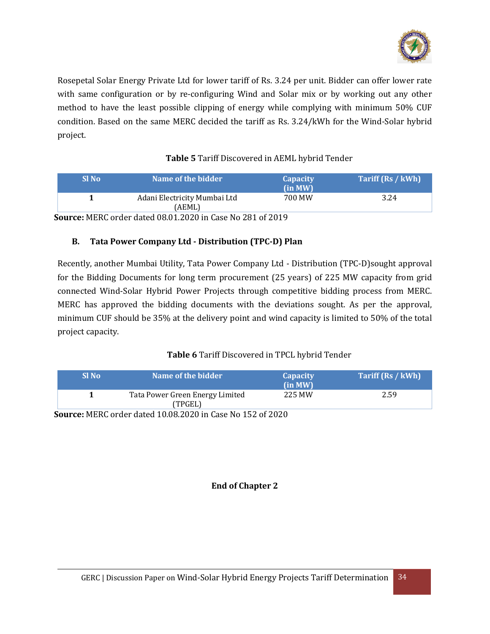

Rosepetal Solar Energy Private Ltd for lower tariff of Rs. 3.24 per unit. Bidder can offer lower rate with same configuration or by re-configuring Wind and Solar mix or by working out any other method to have the least possible clipping of energy while complying with minimum 50% CUF condition. Based on the same MERC decided the tariff as Rs. 3.24/kWh for the Wind-Solar hybrid project.

## Table 5 Tariff Discovered in AEML hybrid Tender

|   | SI No        | Name of the bidder                     | Capacity<br>(in MW)                     | Tariff (Rs / kWh) |
|---|--------------|----------------------------------------|-----------------------------------------|-------------------|
|   |              | Adani Electricity Mumbai Ltd<br>(AEML) | 700 MW                                  | 3.24              |
| ~ | $\mathbf{1}$ | 1.10004000010                          | $\mathbf{v}$ $\alpha$ $\alpha$ $\alpha$ |                   |

**Source:** MERC order dated 08.01.2020 in Case No 281 of 2019

## **B. Tata Power Company Ltd - Distribution (TPC-D) Plan**

Recently, another Mumbai Utility, Tata Power Company Ltd - Distribution (TPC-D)sought approval for the Bidding Documents for long term procurement (25 years) of 225 MW capacity from grid connected Wind-Solar Hybrid Power Projects through competitive bidding process from MERC. MERC has approved the bidding documents with the deviations sought. As per the approval, minimum CUF should be 35% at the delivery point and wind capacity is limited to 50% of the total project capacity.

## **Table 6** Tariff Discovered in TPCL hybrid Tender

| SI No | Name of the bidder                         | Capacity<br>(in MW) | Tariff (Rs / kWh) |
|-------|--------------------------------------------|---------------------|-------------------|
|       | Tata Power Green Energy Limited<br>(TPGEL) | 225 MW              | 2.59              |

**Source:** MERC order dated 10.08.2020 in Case No 152 of 2020

## **End of Chapter 2**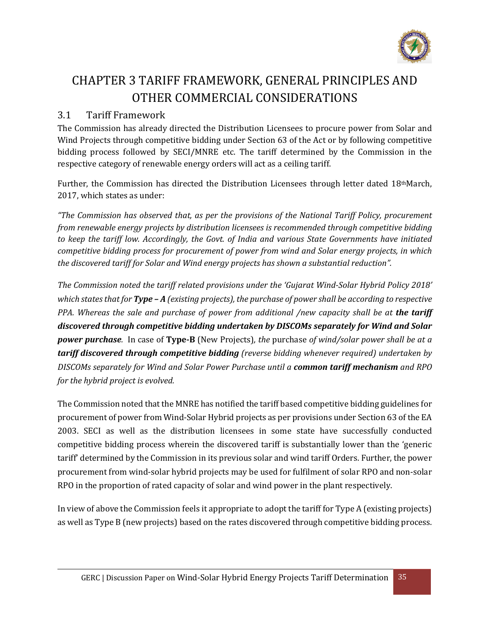

# CHAPTER 3 TARIFF FRAMEWORK, GENERAL PRINCIPLES AND OTHER COMMERCIAL CONSIDERATIONS

# 3.1 Tariff Framework

The Commission has already directed the Distribution Licensees to procure power from Solar and Wind Projects through competitive bidding under Section 63 of the Act or by following competitive bidding process followed by SECI/MNRE etc. The tariff determined by the Commission in the respective category of renewable energy orders will act as a ceiling tariff.

Further, the Commission has directed the Distribution Licensees through letter dated 18<sup>th</sup>March, 2017, which states as under:

*"The Commission has observed that, as per the provisions of the National Tariff Policy, procurement from renewable energy projects by distribution licensees is recommended through competitive bidding* to keep the tariff low. Accordingly, the Govt. of India and various State Governments have initiated *competitive bidding process for procurement of power from wind and Solar energy projects, in which* the discovered tariff for Solar and Wind energy projects has shown a substantial reduction".

The Commission noted the tariff related provisions under the 'Gujarat Wind-Solar Hybrid Policy 2018' *which states that for Type - A (existing projects), the purchase of power shall be according to respective PPA.* Whereas the sale and purchase of power from additional /new capacity shall be at the tariff discovered through competitive bidding undertaken by DISCOMs separately for Wind and Solar *power purchase.* In case of **Type-B** (New Projects), the purchase *of wind/solar power shall be at a* **tariff discovered through competitive bidding** (reverse bidding whenever required) undertaken by *DISCOMs separately for Wind and Solar Power Purchase until a common tariff mechanism and RPO for the hybrid project is evolved.* 

The Commission noted that the MNRE has notified the tariff based competitive bidding guidelines for procurement of power from Wind-Solar Hybrid projects as per provisions under Section 63 of the EA 2003. SECI as well as the distribution licensees in some state have successfully conducted competitive bidding process wherein the discovered tariff is substantially lower than the 'generic tariff' determined by the Commission in its previous solar and wind tariff Orders. Further, the power procurement from wind-solar hybrid projects may be used for fulfilment of solar RPO and non-solar RPO in the proportion of rated capacity of solar and wind power in the plant respectively.

In view of above the Commission feels it appropriate to adopt the tariff for Type A (existing projects) as well as Type B (new projects) based on the rates discovered through competitive bidding process.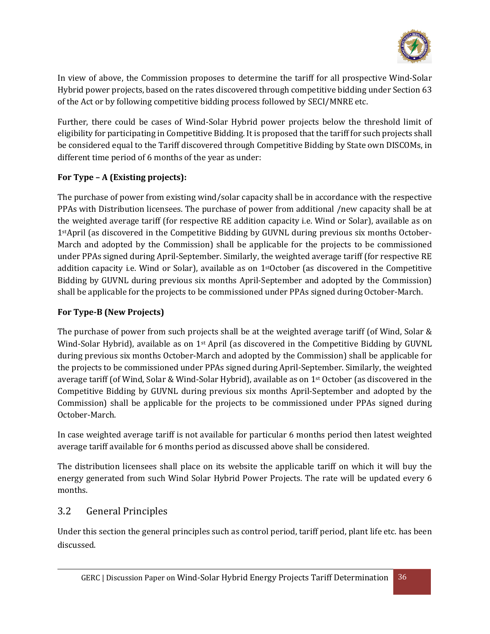

In view of above, the Commission proposes to determine the tariff for all prospective Wind-Solar Hybrid power projects, based on the rates discovered through competitive bidding under Section 63 of the Act or by following competitive bidding process followed by SECI/MNRE etc.

Further, there could be cases of Wind-Solar Hybrid power projects below the threshold limit of eligibility for participating in Competitive Bidding. It is proposed that the tariff for such projects shall be considered equal to the Tariff discovered through Competitive Bidding by State own DISCOMs, in different time period of 6 months of the year as under:

# **For Type – A (Existing projects):**

The purchase of power from existing wind/solar capacity shall be in accordance with the respective PPAs with Distribution licensees. The purchase of power from additional /new capacity shall be at the weighted average tariff (for respective RE addition capacity i.e. Wind or Solar), available as on  $1<sup>st</sup>$ April (as discovered in the Competitive Bidding by GUVNL during previous six months October-March and adopted by the Commission) shall be applicable for the projects to be commissioned under PPAs signed during April-September. Similarly, the weighted average tariff (for respective RE addition capacity i.e. Wind or Solar), available as on  $1<sup>st</sup>October$  (as discovered in the Competitive Bidding by GUVNL during previous six months April-September and adopted by the Commission) shall be applicable for the projects to be commissioned under PPAs signed during October-March.

## **For Type-B (New Projects)**

The purchase of power from such projects shall be at the weighted average tariff (of Wind, Solar  $&$ Wind-Solar Hybrid), available as on  $1<sup>st</sup>$  April (as discovered in the Competitive Bidding by GUVNL during previous six months October-March and adopted by the Commission) shall be applicable for the projects to be commissioned under PPAs signed during April-September. Similarly, the weighted average tariff (of Wind, Solar & Wind-Solar Hybrid), available as on  $1<sup>st</sup>$  October (as discovered in the Competitive Bidding by GUVNL during previous six months April-September and adopted by the Commission) shall be applicable for the projects to be commissioned under PPAs signed during October-March.

In case weighted average tariff is not available for particular 6 months period then latest weighted average tariff available for 6 months period as discussed above shall be considered.

The distribution licensees shall place on its website the applicable tariff on which it will buy the energy generated from such Wind Solar Hybrid Power Projects. The rate will be updated every 6 months.

# 3.2 General Principles

Under this section the general principles such as control period, tariff period, plant life etc. has been discussed.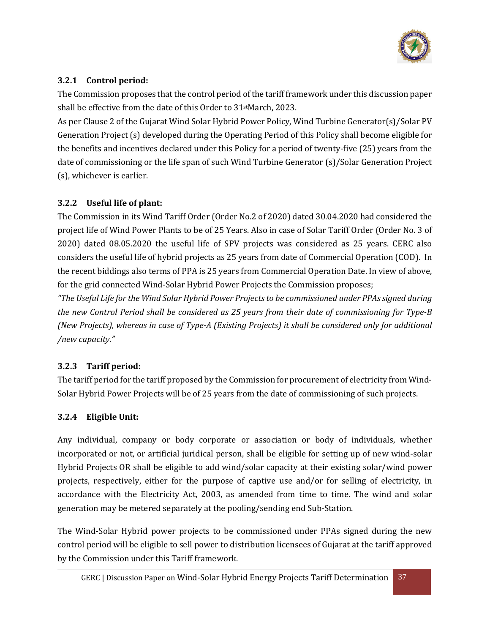

# **3.2.1 Control period:**

The Commission proposes that the control period of the tariff framework under this discussion paper shall be effective from the date of this Order to 31<sup>st</sup>March, 2023.

As per Clause 2 of the Gujarat Wind Solar Hybrid Power Policy, Wind Turbine Generator(s)/Solar PV Generation Project  $(s)$  developed during the Operating Period of this Policy shall become eligible for the benefits and incentives declared under this Policy for a period of twenty-five (25) years from the date of commissioning or the life span of such Wind Turbine Generator (s)/Solar Generation Project (s), whichever is earlier.

# **3.2.2 Useful life of plant:**

The Commission in its Wind Tariff Order (Order No.2 of 2020) dated 30.04.2020 had considered the project life of Wind Power Plants to be of 25 Years. Also in case of Solar Tariff Order (Order No. 3 of 2020) dated 08.05.2020 the useful life of SPV projects was considered as 25 years. CERC also considers the useful life of hybrid projects as 25 years from date of Commercial Operation (COD). In the recent biddings also terms of PPA is 25 years from Commercial Operation Date. In view of above, for the grid connected Wind-Solar Hybrid Power Projects the Commission proposes;

*"The Useful Life for the Wind Solar Hybrid Power Projects to be commissioned under PPAs signed during the new Control Period shall be considered as 25 years from their date of commissioning for Type-B (New Projects), whereas in case of Type-A (Existing Projects) it shall be considered only for additional /new capacity."*

# **3.2.3 Tariff period:**

The tariff period for the tariff proposed by the Commission for procurement of electricity from Wind-Solar Hybrid Power Projects will be of 25 years from the date of commissioning of such projects.

# **3.2.4 Eligible Unit:**

Any individual, company or body corporate or association or body of individuals, whether incorporated or not, or artificial juridical person, shall be eligible for setting up of new wind-solar Hybrid Projects OR shall be eligible to add wind/solar capacity at their existing solar/wind power projects, respectively, either for the purpose of captive use and/or for selling of electricity, in accordance with the Electricity Act, 2003, as amended from time to time. The wind and solar generation may be metered separately at the pooling/sending end Sub-Station.

The Wind-Solar Hybrid power projects to be commissioned under PPAs signed during the new control period will be eligible to sell power to distribution licensees of Gujarat at the tariff approved by the Commission under this Tariff framework.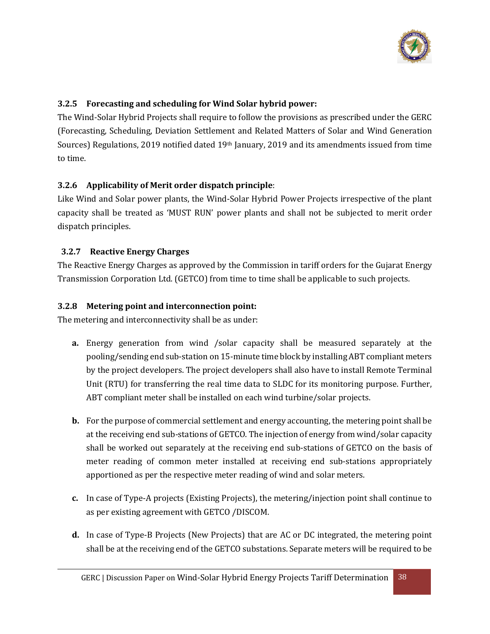

## **3.2.5** Forecasting and scheduling for Wind Solar hybrid power:

The Wind-Solar Hybrid Projects shall require to follow the provisions as prescribed under the GERC (Forecasting, Scheduling, Deviation Settlement and Related Matters of Solar and Wind Generation Sources) Regulations, 2019 notified dated 19<sup>th</sup> January, 2019 and its amendments issued from time to time.

## **3.2.6 Applicability of Merit order dispatch principle:**

Like Wind and Solar power plants, the Wind-Solar Hybrid Power Projects irrespective of the plant capacity shall be treated as 'MUST RUN' power plants and shall not be subjected to merit order dispatch principles.

#### **3.2.7 Reactive Energy Charges**

The Reactive Energy Charges as approved by the Commission in tariff orders for the Gujarat Energy Transmission Corporation Ltd. (GETCO) from time to time shall be applicable to such projects.

#### **3.2.8** Metering point and interconnection point:

The metering and interconnectivity shall be as under:

- **a.** Energy generation from wind /solar capacity shall be measured separately at the pooling/sending end sub-station on 15-minute time block by installing ABT compliant meters by the project developers. The project developers shall also have to install Remote Terminal Unit (RTU) for transferring the real time data to SLDC for its monitoring purpose. Further, ABT compliant meter shall be installed on each wind turbine/solar projects.
- **b.** For the purpose of commercial settlement and energy accounting, the metering point shall be at the receiving end sub-stations of GETCO. The injection of energy from wind/solar capacity shall be worked out separately at the receiving end sub-stations of GETCO on the basis of meter reading of common meter installed at receiving end sub-stations appropriately apportioned as per the respective meter reading of wind and solar meters.
- **c.** In case of Type-A projects (Existing Projects), the metering/injection point shall continue to as per existing agreement with GETCO /DISCOM.
- **d.** In case of Type-B Projects (New Projects) that are AC or DC integrated, the metering point shall be at the receiving end of the GETCO substations. Separate meters will be required to be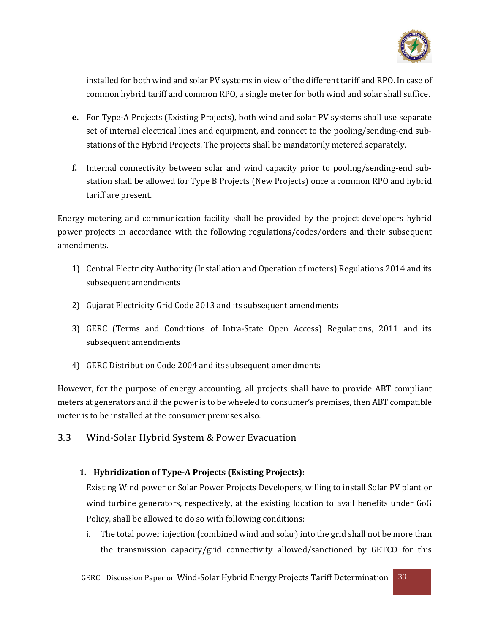

installed for both wind and solar PV systems in view of the different tariff and RPO. In case of common hybrid tariff and common RPO, a single meter for both wind and solar shall suffice.

- **e.** For Type-A Projects (Existing Projects), both wind and solar PV systems shall use separate set of internal electrical lines and equipment, and connect to the pooling/sending-end substations of the Hybrid Projects. The projects shall be mandatorily metered separately.
- **f.** Internal connectivity between solar and wind capacity prior to pooling/sending-end substation shall be allowed for Type B Projects (New Projects) once a common RPO and hybrid tariff are present.

Energy metering and communication facility shall be provided by the project developers hybrid power projects in accordance with the following regulations/codes/orders and their subsequent amendments.

- 1) Central Electricity Authority (Installation and Operation of meters) Regulations 2014 and its subsequent amendments
- 2) Gujarat Electricity Grid Code 2013 and its subsequent amendments
- 3) GERC (Terms and Conditions of Intra-State Open Access) Regulations, 2011 and its subsequent amendments
- 4) GERC Distribution Code 2004 and its subsequent amendments

However, for the purpose of energy accounting, all projects shall have to provide ABT compliant meters at generators and if the power is to be wheeled to consumer's premises, then ABT compatible meter is to be installed at the consumer premises also.

3.3 Wind-Solar Hybrid System & Power Evacuation

## 1. **Hybridization of Type-A Projects (Existing Projects):**

Existing Wind power or Solar Power Projects Developers, willing to install Solar PV plant or wind turbine generators, respectively, at the existing location to avail benefits under GoG Policy, shall be allowed to do so with following conditions:

i. The total power injection (combined wind and solar) into the grid shall not be more than the transmission capacity/grid connectivity allowed/sanctioned by GETCO for this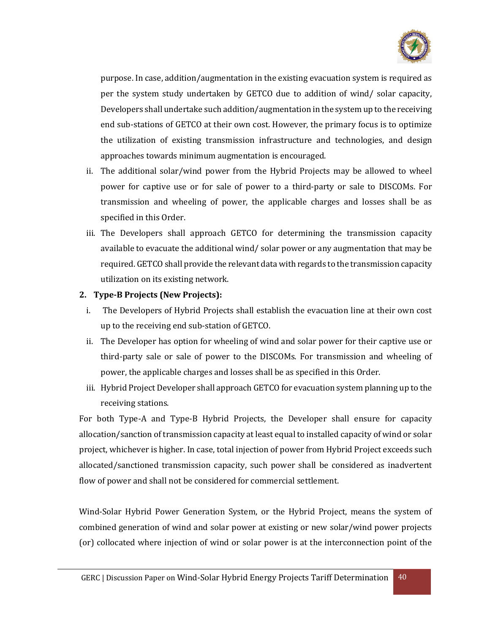

purpose. In case, addition/augmentation in the existing evacuation system is required as per the system study undertaken by GETCO due to addition of wind/ solar capacity, Developers shall undertake such addition/augmentation in the system up to the receiving end sub-stations of GETCO at their own cost. However, the primary focus is to optimize the utilization of existing transmission infrastructure and technologies, and design approaches towards minimum augmentation is encouraged.

- ii. The additional solar/wind power from the Hybrid Projects may be allowed to wheel power for captive use or for sale of power to a third-party or sale to DISCOMs. For transmission and wheeling of power, the applicable charges and losses shall be as specified in this Order.
- iii. The Developers shall approach GETCO for determining the transmission capacity available to evacuate the additional wind/ solar power or any augmentation that may be required. GETCO shall provide the relevant data with regards to the transmission capacity utilization on its existing network.

#### **2. Type-B Projects (New Projects):**

- i. The Developers of Hybrid Projects shall establish the evacuation line at their own cost up to the receiving end sub-station of GETCO.
- ii. The Developer has option for wheeling of wind and solar power for their captive use or third-party sale or sale of power to the DISCOMs. For transmission and wheeling of power, the applicable charges and losses shall be as specified in this Order.
- iii. Hybrid Project Developer shall approach GETCO for evacuation system planning up to the receiving stations.

For both Type-A and Type-B Hybrid Projects, the Developer shall ensure for capacity allocation/sanction of transmission capacity at least equal to installed capacity of wind or solar project, whichever is higher. In case, total injection of power from Hybrid Project exceeds such allocated/sanctioned transmission capacity, such power shall be considered as inadvertent flow of power and shall not be considered for commercial settlement.

Wind-Solar Hybrid Power Generation System, or the Hybrid Project, means the system of combined generation of wind and solar power at existing or new solar/wind power projects (or) collocated where injection of wind or solar power is at the interconnection point of the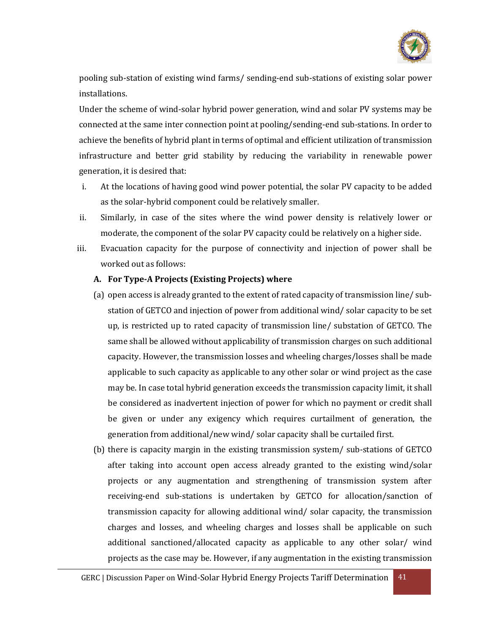

pooling sub-station of existing wind farms/ sending-end sub-stations of existing solar power installations.

Under the scheme of wind-solar hybrid power generation, wind and solar PV systems may be connected at the same inter connection point at pooling/sending-end sub-stations. In order to achieve the benefits of hybrid plant in terms of optimal and efficient utilization of transmission infrastructure and better grid stability by reducing the variability in renewable power generation, it is desired that:

- i. At the locations of having good wind power potential, the solar PV capacity to be added as the solar-hybrid component could be relatively smaller.
- ii. Similarly, in case of the sites where the wind power density is relatively lower or moderate, the component of the solar PV capacity could be relatively on a higher side.
- iii. Evacuation capacity for the purpose of connectivity and injection of power shall be worked out as follows:

#### A. For Type-A Projects (Existing Projects) where

- (a) open access is already granted to the extent of rated capacity of transmission line/ substation of GETCO and injection of power from additional wind/ solar capacity to be set up, is restricted up to rated capacity of transmission line/ substation of GETCO. The same shall be allowed without applicability of transmission charges on such additional capacity. However, the transmission losses and wheeling charges/losses shall be made applicable to such capacity as applicable to any other solar or wind project as the case may be. In case total hybrid generation exceeds the transmission capacity limit, it shall be considered as inadvertent injection of power for which no payment or credit shall be given or under any exigency which requires curtailment of generation, the generation from additional/new wind/ solar capacity shall be curtailed first.
- (b) there is capacity margin in the existing transmission system/ $\sinh$  sub-stations of GETCO after taking into account open access already granted to the existing wind/solar projects or any augmentation and strengthening of transmission system after receiving-end sub-stations is undertaken by GETCO for allocation/sanction of transmission capacity for allowing additional wind/ solar capacity, the transmission charges and losses, and wheeling charges and losses shall be applicable on such additional sanctioned/allocated capacity as applicable to any other solar/ wind projects as the case may be. However, if any augmentation in the existing transmission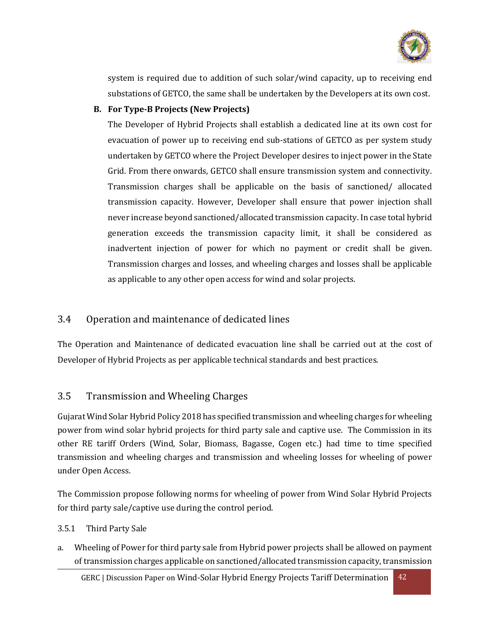

system is required due to addition of such solar/wind capacity, up to receiving end substations of GETCO, the same shall be undertaken by the Developers at its own cost.

#### **B. For Type-B Projects (New Projects)**

The Developer of Hybrid Projects shall establish a dedicated line at its own cost for evacuation of power up to receiving end sub-stations of GETCO as per system study undertaken by GETCO where the Project Developer desires to inject power in the State Grid. From there onwards, GETCO shall ensure transmission system and connectivity. Transmission charges shall be applicable on the basis of sanctioned/ allocated transmission capacity. However, Developer shall ensure that power injection shall never increase beyond sanctioned/allocated transmission capacity. In case total hybrid generation exceeds the transmission capacity limit, it shall be considered as inadvertent injection of power for which no payment or credit shall be given. Transmission charges and losses, and wheeling charges and losses shall be applicable as applicable to any other open access for wind and solar projects.

# 3.4 Operation and maintenance of dedicated lines

The Operation and Maintenance of dedicated evacuation line shall be carried out at the cost of Developer of Hybrid Projects as per applicable technical standards and best practices.

# 3.5 Transmission and Wheeling Charges

Gujarat Wind Solar Hybrid Policy 2018 has specified transmission and wheeling charges for wheeling power from wind solar hybrid projects for third party sale and captive use. The Commission in its other RE tariff Orders (Wind, Solar, Biomass, Bagasse, Cogen etc.) had time to time specified transmission and wheeling charges and transmission and wheeling losses for wheeling of power under Open Access.

The Commission propose following norms for wheeling of power from Wind Solar Hybrid Projects for third party sale/captive use during the control period.

#### 3.5.1 Third Party Sale

a. Wheeling of Power for third party sale from Hybrid power projects shall be allowed on payment of transmission charges applicable on sanctioned/allocated transmission capacity, transmission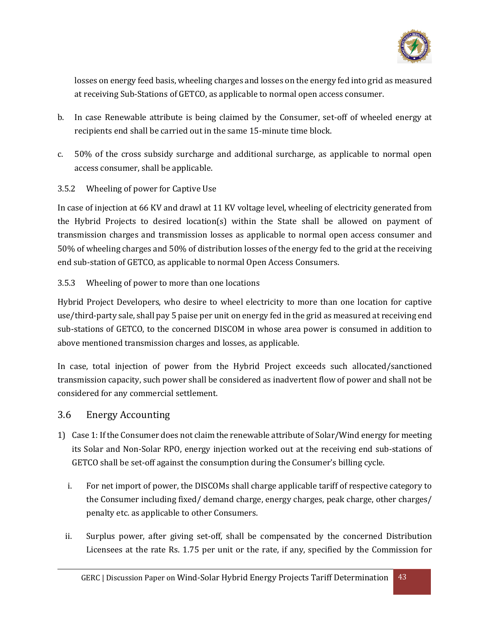

losses on energy feed basis, wheeling charges and losses on the energy fed into grid as measured at receiving Sub-Stations of GETCO, as applicable to normal open access consumer.

- b. In case Renewable attribute is being claimed by the Consumer, set-off of wheeled energy at recipients end shall be carried out in the same 15-minute time block.
- c. 50% of the cross subsidy surcharge and additional surcharge, as applicable to normal open access consumer, shall be applicable.

## 3.5.2 Wheeling of power for Captive Use

In case of injection at 66 KV and drawl at 11 KV voltage level, wheeling of electricity generated from the Hybrid Projects to desired location(s) within the State shall be allowed on payment of transmission charges and transmission losses as applicable to normal open access consumer and 50% of wheeling charges and 50% of distribution losses of the energy fed to the grid at the receiving end sub-station of GETCO, as applicable to normal Open Access Consumers.

#### 3.5.3 Wheeling of power to more than one locations

Hybrid Project Developers, who desire to wheel electricity to more than one location for captive use/third-party sale, shall pay 5 paise per unit on energy fed in the grid as measured at receiving end sub-stations of GETCO, to the concerned DISCOM in whose area power is consumed in addition to above mentioned transmission charges and losses, as applicable.

In case, total injection of power from the Hybrid Project exceeds such allocated/sanctioned transmission capacity, such power shall be considered as inadvertent flow of power and shall not be considered for any commercial settlement.

## 3.6 Energy Accounting

- 1) Case 1: If the Consumer does not claim the renewable attribute of Solar/Wind energy for meeting its Solar and Non-Solar RPO, energy injection worked out at the receiving end sub-stations of GETCO shall be set-off against the consumption during the Consumer's billing cycle.
	- i. For net import of power, the DISCOMs shall charge applicable tariff of respective category to the Consumer including fixed/ demand charge, energy charges, peak charge, other charges/ penalty etc. as applicable to other Consumers.
	- ii. Surplus power, after giving set-off, shall be compensated by the concerned Distribution Licensees at the rate Rs. 1.75 per unit or the rate, if any, specified by the Commission for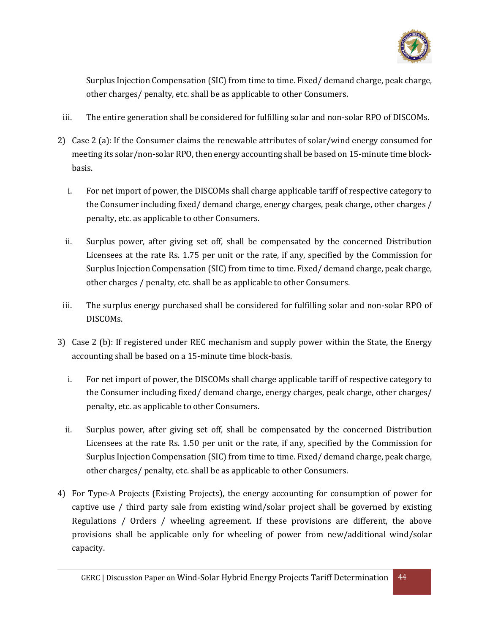

Surplus Injection Compensation (SIC) from time to time. Fixed/ demand charge, peak charge, other charges/ penalty, etc. shall be as applicable to other Consumers.

- iii. The entire generation shall be considered for fulfilling solar and non-solar RPO of DISCOMs.
- 2) Case 2 (a): If the Consumer claims the renewable attributes of solar/wind energy consumed for meeting its solar/non-solar RPO, then energy accounting shall be based on 15-minute time blockbasis.
	- i. For net import of power, the DISCOMs shall charge applicable tariff of respective category to the Consumer including fixed/ demand charge, energy charges, peak charge, other charges / penalty, etc. as applicable to other Consumers.
	- ii. Surplus power, after giving set off, shall be compensated by the concerned Distribution Licensees at the rate Rs. 1.75 per unit or the rate, if any, specified by the Commission for Surplus Injection Compensation (SIC) from time to time. Fixed/ demand charge, peak charge, other charges / penalty, etc. shall be as applicable to other Consumers.
- iii. The surplus energy purchased shall be considered for fulfilling solar and non-solar RPO of DISCOMs.
- 3) Case 2 (b): If registered under REC mechanism and supply power within the State, the Energy accounting shall be based on a 15-minute time block-basis.
	- i. For net import of power, the DISCOMs shall charge applicable tariff of respective category to the Consumer including fixed/ demand charge, energy charges, peak charge, other charges/ penalty, etc. as applicable to other Consumers.
	- ii. Surplus power, after giving set off, shall be compensated by the concerned Distribution Licensees at the rate Rs.  $1.50$  per unit or the rate, if any, specified by the Commission for Surplus Injection Compensation (SIC) from time to time. Fixed/ demand charge, peak charge, other charges/ penalty, etc. shall be as applicable to other Consumers.
- 4) For Type-A Projects (Existing Projects), the energy accounting for consumption of power for captive use  $/$  third party sale from existing wind/solar project shall be governed by existing Regulations  $/$  Orders  $/$  wheeling agreement. If these provisions are different, the above provisions shall be applicable only for wheeling of power from new/additional wind/solar capacity.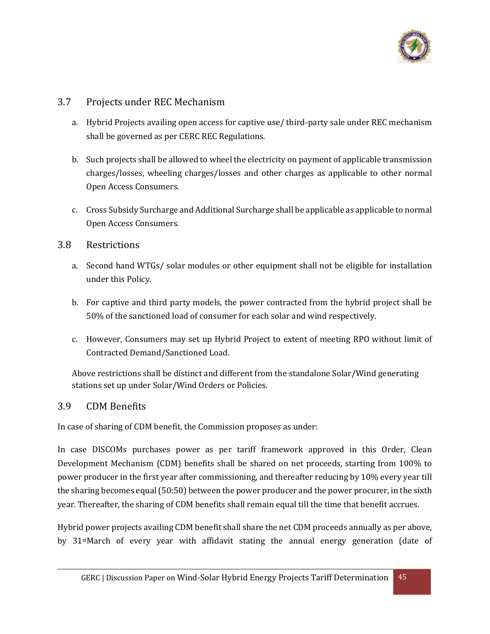

# 3.7 Projects under REC Mechanism

- a. Hybrid Projects availing open access for captive use/ third-party sale under REC mechanism shall be governed as per CERC REC Regulations.
- b. Such projects shall be allowed to wheel the electricity on payment of applicable transmission charges/losses, wheeling charges/losses and other charges as applicable to other normal Open Access Consumers.
- c. Cross Subsidy Surcharge and Additional Surcharge shall be applicable as applicable to normal Open Access Consumers.

## 3.8 Restrictions

- a. Second hand WTGs/ solar modules or other equipment shall not be eligible for installation under this Policy.
- b. For captive and third party models, the power contracted from the hybrid project shall be 50% of the sanctioned load of consumer for each solar and wind respectively.
- c. However, Consumers may set up Hybrid Project to extent of meeting RPO without limit of Contracted Demand/Sanctioned Load.

Above restrictions shall be distinct and different from the standalone Solar/Wind generating stations set up under Solar/Wind Orders or Policies.

# 3.9 CDM Benefits

In case of sharing of CDM benefit, the Commission proposes as under:

In case DISCOMs purchases power as per tariff framework approved in this Order, Clean Development Mechanism (CDM) benefits shall be shared on net proceeds, starting from 100% to power producer in the first year after commissioning, and thereafter reducing by 10% every year till the sharing becomes equal  $(50:50)$  between the power producer and the power procurer, in the sixth year. Thereafter, the sharing of CDM benefits shall remain equal till the time that benefit accrues.

Hybrid power projects availing CDM benefit shall share the net CDM proceeds annually as per above, by 31<sup>st</sup>March of every year with affidavit stating the annual energy generation (date of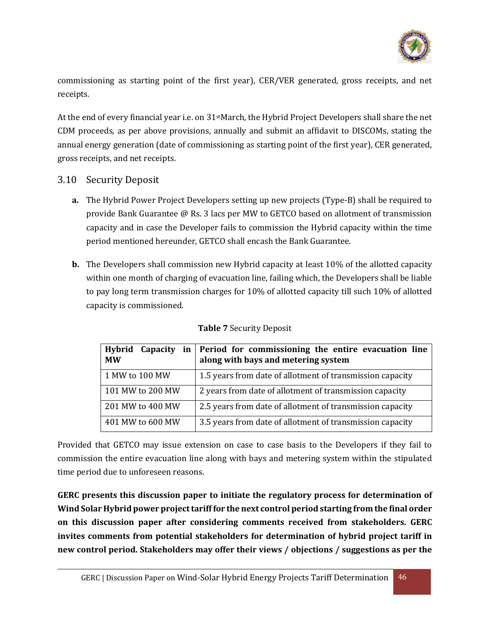

commissioning as starting point of the first year), CER/VER generated, gross receipts, and net receipts.

At the end of every financial year i.e. on 31<sup>st</sup>March, the Hybrid Project Developers shall share the net CDM proceeds, as per above provisions, annually and submit an affidavit to DISCOMs, stating the annual energy generation (date of commissioning as starting point of the first year), CER generated, gross receipts, and net receipts.

## 3.10 Security Deposit

- **a.** The Hybrid Power Project Developers setting up new projects (Type-B) shall be required to provide Bank Guarantee  $\omega$  Rs. 3 lacs per MW to GETCO based on allotment of transmission capacity and in case the Developer fails to commission the Hybrid capacity within the time period mentioned hereunder, GETCO shall encash the Bank Guarantee.
- **b.** The Developers shall commission new Hybrid capacity at least 10% of the allotted capacity within one month of charging of evacuation line, failing which, the Developers shall be liable to pay long term transmission charges for  $10\%$  of allotted capacity till such  $10\%$  of allotted capacity is commissioned.

| Hybrid Capacity in<br><b>MW</b> | Period for commissioning the entire evacuation line<br>along with bays and metering system |  |
|---------------------------------|--------------------------------------------------------------------------------------------|--|
| 1 MW to 100 MW                  | 1.5 years from date of allotment of transmission capacity                                  |  |
| 101 MW to 200 MW                | 2 years from date of allotment of transmission capacity                                    |  |
| 201 MW to 400 MW                | 2.5 years from date of allotment of transmission capacity                                  |  |
| 401 MW to 600 MW                | 3.5 years from date of allotment of transmission capacity                                  |  |

#### **Table 7 Security Deposit**

Provided that GETCO may issue extension on case to case basis to the Developers if they fail to commission the entire evacuation line along with bays and metering system within the stipulated time period due to unforeseen reasons.

**GERC** presents this discussion paper to initiate the regulatory process for determination of Wind Solar Hybrid power project tariff for the next control period starting from the final order **on this discussion paper after considering comments received from stakeholders. GERC invites comments from potential stakeholders for determination of hybrid project tariff in** new control period. Stakeholders may offer their views / objections / suggestions as per the